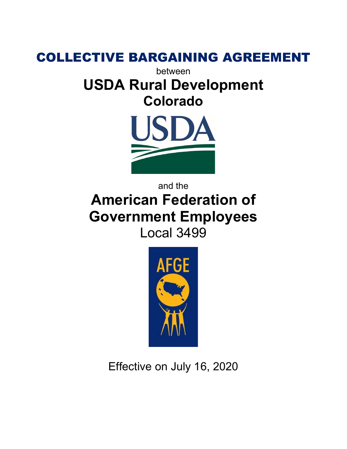

between

# **USDA Rural Development Colorado**



# and the **American Federation of Government Employees** Local 3499



Effective on July 16, 2020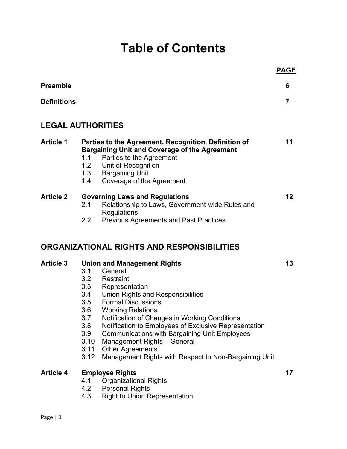# **Table of Contents**

|                          |                                                                                     |                                                                                                                                                                                                                                                                                                                                                                                                                                                                 | <u>PAGE</u> |
|--------------------------|-------------------------------------------------------------------------------------|-----------------------------------------------------------------------------------------------------------------------------------------------------------------------------------------------------------------------------------------------------------------------------------------------------------------------------------------------------------------------------------------------------------------------------------------------------------------|-------------|
| <b>Preamble</b>          |                                                                                     |                                                                                                                                                                                                                                                                                                                                                                                                                                                                 | 6           |
| <b>Definitions</b>       |                                                                                     |                                                                                                                                                                                                                                                                                                                                                                                                                                                                 | 7           |
| <b>LEGAL AUTHORITIES</b> |                                                                                     |                                                                                                                                                                                                                                                                                                                                                                                                                                                                 |             |
| <b>Article 1</b>         | 1.1<br>1.3                                                                          | Parties to the Agreement, Recognition, Definition of<br><b>Bargaining Unit and Coverage of the Agreement</b><br>Parties to the Agreement<br>1.2 Unit of Recognition<br><b>Bargaining Unit</b><br>1.4 Coverage of the Agreement                                                                                                                                                                                                                                  | 11          |
| <b>Article 2</b>         | 2.1<br>2.2                                                                          | <b>Governing Laws and Regulations</b><br>Relationship to Laws, Government-wide Rules and<br><b>Regulations</b><br><b>Previous Agreements and Past Practices</b>                                                                                                                                                                                                                                                                                                 | 12          |
|                          |                                                                                     | ORGANIZATIONAL RIGHTS AND RESPONSIBILITIES                                                                                                                                                                                                                                                                                                                                                                                                                      |             |
| <b>Article 3</b>         | 3.1<br>3.2<br>3.3<br>3.4<br>3.5<br>3.6<br>3.7<br>3.8<br>3.9<br>3.10<br>3.11<br>3.12 | <b>Union and Management Rights</b><br>General<br>Restraint<br>Representation<br>Union Rights and Responsibilities<br><b>Formal Discussions</b><br><b>Working Relations</b><br>Notification of Changes in Working Conditions<br>Notification to Employees of Exclusive Representation<br><b>Communications with Bargaining Unit Employees</b><br>Management Rights - General<br><b>Other Agreements</b><br>Management Rights with Respect to Non-Bargaining Unit | 13          |
| <b>Article 4</b>         | 4.1<br>4.2<br>4.3                                                                   | <b>Employee Rights</b><br><b>Organizational Rights</b><br><b>Personal Rights</b><br><b>Right to Union Representation</b>                                                                                                                                                                                                                                                                                                                                        | 17          |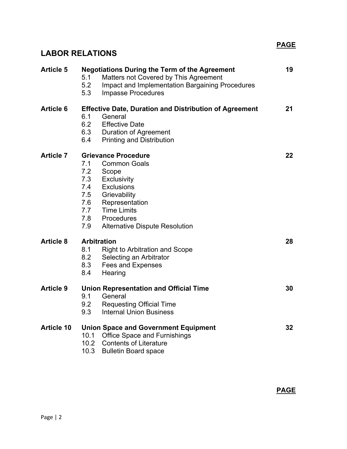# **LABOR RELATIONS**

| <b>Article 5</b>  | <b>Negotiations During the Term of the Agreement</b><br>Matters not Covered by This Agreement<br>5.1<br>5.2<br><b>Impact and Implementation Bargaining Procedures</b><br>5.3<br><b>Impasse Procedures</b>                                                                           | 19 |
|-------------------|-------------------------------------------------------------------------------------------------------------------------------------------------------------------------------------------------------------------------------------------------------------------------------------|----|
| <b>Article 6</b>  | <b>Effective Date, Duration and Distribution of Agreement</b><br>6.1<br>General<br>6.2<br><b>Effective Date</b><br>6.3<br>Duration of Agreement<br>6.4<br><b>Printing and Distribution</b>                                                                                          | 21 |
| <b>Article 7</b>  | <b>Grievance Procedure</b><br><b>Common Goals</b><br>7.1<br>7.2<br>Scope<br>7.3<br><b>Exclusivity</b><br>7.4<br><b>Exclusions</b><br>7.5<br>Grievability<br>7.6<br>Representation<br>7.7<br><b>Time Limits</b><br>7.8<br>Procedures<br>7.9<br><b>Alternative Dispute Resolution</b> | 22 |
| <b>Article 8</b>  | <b>Arbitration</b><br>8.1<br><b>Right to Arbitration and Scope</b><br>8.2<br>Selecting an Arbitrator<br>8.3<br><b>Fees and Expenses</b><br>8.4<br>Hearing                                                                                                                           | 28 |
| <b>Article 9</b>  | <b>Union Representation and Official Time</b><br>9.1<br>General<br>9.2<br><b>Requesting Official Time</b><br>9.3<br><b>Internal Union Business</b>                                                                                                                                  | 30 |
| <b>Article 10</b> | <b>Union Space and Government Equipment</b><br>10.1 Office Space and Furnishings<br>10.2 Contents of Literature<br>10.3<br><b>Bulletin Board space</b>                                                                                                                              | 32 |

**PAGE**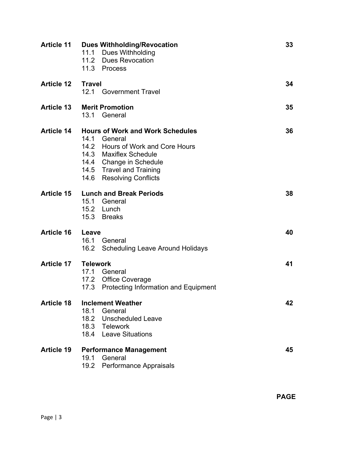|                   | <b>Article 11 Dues Withholding/Revocation</b><br>11.1 Dues Withholding<br>11.2 Dues Revocation<br>11.3 Process                                                                                            | 33 |
|-------------------|-----------------------------------------------------------------------------------------------------------------------------------------------------------------------------------------------------------|----|
| <b>Article 12</b> | <b>Travel</b><br>12.1 Government Travel                                                                                                                                                                   | 34 |
| <b>Article 13</b> | <b>Merit Promotion</b><br>13.1 General                                                                                                                                                                    | 35 |
| <b>Article 14</b> | <b>Hours of Work and Work Schedules</b><br>14.1 General<br>14.2 Hours of Work and Core Hours<br>14.3 Maxiflex Schedule<br>14.4 Change in Schedule<br>14.5 Travel and Training<br>14.6 Resolving Conflicts | 36 |
| <b>Article 15</b> | <b>Lunch and Break Periods</b><br>15.1 General<br>15.2 Lunch<br>15.3 Breaks                                                                                                                               | 38 |
| <b>Article 16</b> | Leave<br>16.1<br>General<br>16.2 Scheduling Leave Around Holidays                                                                                                                                         | 40 |
| <b>Article 17</b> | <b>Telework</b><br>17.1 General<br>17.2 Office Coverage<br>17.3 Protecting Information and Equipment                                                                                                      | 41 |
| <b>Article 18</b> | <b>Inclement Weather</b><br>18.1<br>General<br>18.2 Unscheduled Leave<br>18.3 Telework<br>18.4 Leave Situations                                                                                           | 42 |
| <b>Article 19</b> | <b>Performance Management</b><br>19.1<br>General<br>19.2 Performance Appraisals                                                                                                                           | 45 |

**PAGE**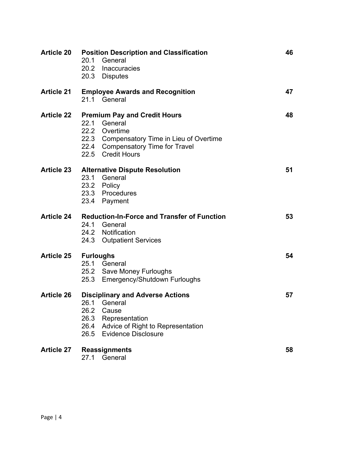| <b>Article 20</b> | <b>Position Description and Classification</b><br>20.1<br>General<br>20.2 Inaccuracies<br>20.3 Disputes                                                                            | 46 |
|-------------------|------------------------------------------------------------------------------------------------------------------------------------------------------------------------------------|----|
| <b>Article 21</b> | <b>Employee Awards and Recognition</b><br>21.1 General                                                                                                                             | 47 |
| <b>Article 22</b> | <b>Premium Pay and Credit Hours</b><br>22.1 General<br>22.2 Overtime<br>22.3 Compensatory Time in Lieu of Overtime<br>22.4 Compensatory Time for Travel<br>22.5 Credit Hours       | 48 |
| <b>Article 23</b> | <b>Alternative Dispute Resolution</b><br>23.1 General<br>23.2 Policy<br>23.3 Procedures<br>23.4 Payment                                                                            | 51 |
| <b>Article 24</b> | <b>Reduction-In-Force and Transfer of Function</b><br>24.1 General<br>24.2 Notification<br>24.3 Outpatient Services                                                                | 53 |
| <b>Article 25</b> | <b>Furloughs</b><br>25.1 General<br>25.2 Save Money Furloughs<br>25.3 Emergency/Shutdown Furloughs                                                                                 | 54 |
| <b>Article 26</b> | <b>Disciplinary and Adverse Actions</b><br>26.1 General<br>26.2 Cause<br>26.3<br>Representation<br>Advice of Right to Representation<br>26.4<br><b>Evidence Disclosure</b><br>26.5 | 57 |
| <b>Article 27</b> | <b>Reassignments</b><br>27.1 General                                                                                                                                               | 58 |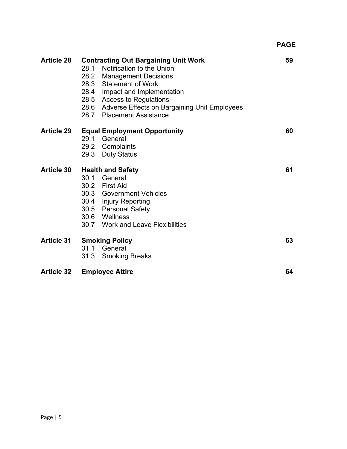| <b>Article 28</b> | <b>Contracting Out Bargaining Unit Work</b><br>28.1<br>Notification to the Union<br>28.2 Management Decisions<br>28.3 Statement of Work<br>28.4<br>Impact and Implementation<br>28.5 Access to Regulations<br>28.6 Adverse Effects on Bargaining Unit Employees<br>28.7 Placement Assistance | 59 |
|-------------------|----------------------------------------------------------------------------------------------------------------------------------------------------------------------------------------------------------------------------------------------------------------------------------------------|----|
| <b>Article 29</b> | <b>Equal Employment Opportunity</b><br>29.1<br>General<br>29.2 Complaints<br>29.3 Duty Status                                                                                                                                                                                                | 60 |
| <b>Article 30</b> | <b>Health and Safety</b><br>30.1<br>General<br>30.2 First Aid<br>30.3 Government Vehicles<br>30.4 Injury Reporting<br>30.5 Personal Safety<br>30.6 Wellness<br>30.7 Work and Leave Flexibilities                                                                                             | 61 |
| <b>Article 31</b> | <b>Smoking Policy</b><br>31.1 General<br>31.3<br><b>Smoking Breaks</b>                                                                                                                                                                                                                       | 63 |
| <b>Article 32</b> | <b>Employee Attire</b>                                                                                                                                                                                                                                                                       | 64 |

**PAGE**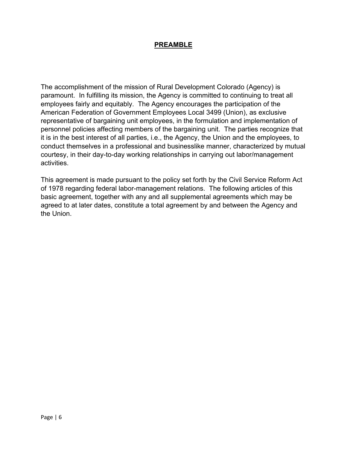#### **PREAMBLE**

The accomplishment of the mission of Rural Development Colorado (Agency) is paramount. In fulfilling its mission, the Agency is committed to continuing to treat all employees fairly and equitably. The Agency encourages the participation of the American Federation of Government Employees Local 3499 (Union), as exclusive representative of bargaining unit employees, in the formulation and implementation of personnel policies affecting members of the bargaining unit. The parties recognize that it is in the best interest of all parties, i.e., the Agency, the Union and the employees, to conduct themselves in a professional and businesslike manner, characterized by mutual courtesy, in their day-to-day working relationships in carrying out labor/management activities.

 of 1978 regarding federal labor-management relations. The following articles of this This agreement is made pursuant to the policy set forth by the Civil Service Reform Act basic agreement, together with any and all supplemental agreements which may be agreed to at later dates, constitute a total agreement by and between the Agency and the Union.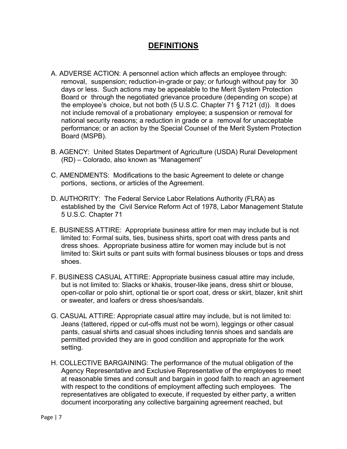# **DEFINITIONS**

- A. ADVERSE ACTION: A personnel action which affects an employee through: removal, suspension; reduction-in-grade or pay; or furlough without pay for 30 days or less. Such actions may be appealable to the Merit System Protection Board or through the negotiated grievance procedure (depending on scope) at the employee's choice, but not both (5 U.S.C. Chapter 71 § 7121 (d)). It does not include removal of a probationary employee; a suspension or removal for national security reasons; a reduction in grade or a removal for unacceptable performance; or an action by the Special Counsel of the Merit System Protection Board (MSPB).
- B. AGENCY: United States Department of Agriculture (USDA) Rural Development (RD) – Colorado, also known as "Management"
- C. AMENDMENTS: Modifications to the basic Agreement to delete or change portions, sections, or articles of the Agreement.
- D. AUTHORITY: The Federal Service Labor Relations Authority (FLRA) as established by the Civil Service Reform Act of 1978, Labor Management Statute 5 U.S.C. Chapter 71
- E. BUSINESS ATTIRE: Appropriate business attire for men may include but is not limited to: Formal suits, ties, business shirts, sport coat with dress pants and dress shoes. Appropriate business attire for women may include but is not limited to: Skirt suits or pant suits with formal business blouses or tops and dress shoes.
- but is not limited to: Slacks or khakis, trouser-like jeans, dress shirt or blouse, F. BUSINESS CASUAL ATTIRE: Appropriate business casual attire may include, open-collar or polo shirt, optional tie or sport coat, dress or skirt, blazer, knit shirt or sweater, and loafers or dress shoes/sandals.
- G. CASUAL ATTIRE: Appropriate casual attire may include, but is not limited to: Jeans (tattered, ripped or cut-offs must not be worn), leggings or other casual pants, casual shirts and casual shoes including tennis shoes and sandals are permitted provided they are in good condition and appropriate for the work setting.
- with respect to the conditions of employment affecting such employees. The H. COLLECTIVE BARGAINING: The performance of the mutual obligation of the Agency Representative and Exclusive Representative of the employees to meet at reasonable times and consult and bargain in good faith to reach an agreement representatives are obligated to execute, if requested by either party, a written document incorporating any collective bargaining agreement reached, but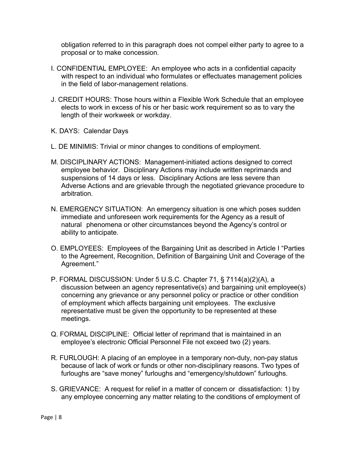proposal or to make concession. obligation referred to in this paragraph does not compel either party to agree to a

- I. CONFIDENTIAL EMPLOYEE: An employee who acts in a confidential capacity with respect to an individual who formulates or effectuates management policies in the field of labor-management relations.
- J. CREDIT HOURS: Those hours within a Flexible Work Schedule that an employee elects to work in excess of his or her basic work requirement so as to vary the length of their workweek or workday.
- K. DAYS: Calendar Days
- L. DE MINIMIS: Trivial or minor changes to conditions of employment.
- M. DISCIPLINARY ACTIONS: Management-initiated actions designed to correct employee behavior. Disciplinary Actions may include written reprimands and suspensions of 14 days or less. Disciplinary Actions are less severe than Adverse Actions and are grievable through the negotiated grievance procedure to arbitration.
- N. EMERGENCY SITUATION: An emergency situation is one which poses sudden immediate and unforeseen work requirements for the Agency as a result of natural phenomena or other circumstances beyond the Agency's control or ability to anticipate.
- O. EMPLOYEES: Employees of the Bargaining Unit as described in Article I "Parties Agreement." to the Agreement, Recognition, Definition of Bargaining Unit and Coverage of the
- concerning any grievance or any personnel policy or practice or other condition P. FORMAL DISCUSSION: Under 5 U.S.C. Chapter 71, § 7114(a)(2)(A), a discussion between an agency representative(s) and bargaining unit employee(s) of employment which affects bargaining unit employees. The exclusive representative must be given the opportunity to be represented at these meetings.
- Q. FORMAL DISCIPLINE: Official letter of reprimand that is maintained in an employee's electronic Official Personnel File not exceed two (2) years.
- R. FURLOUGH: A placing of an employee in a temporary non-duty, non-pay status because of lack of work or funds or other non-disciplinary reasons. Two types of furloughs are "save money" furloughs and "emergency/shutdown" furloughs.
- S. GRIEVANCE: A request for relief in a matter of concern or dissatisfaction: 1) by any employee concerning any matter relating to the conditions of employment of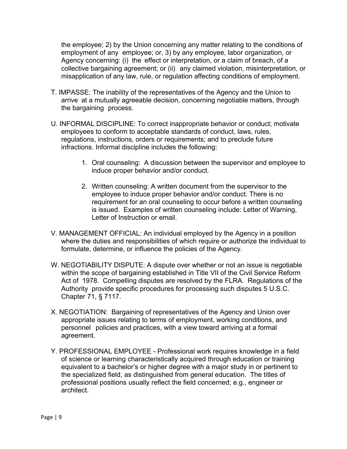the employee; 2) by the Union concerning any matter relating to the conditions of employment of any employee; or, 3) by any employee, labor organization, or Agency concerning: (i) the effect or interpretation, or a claim of breach, of a collective bargaining agreement; or (ii) any claimed violation, misinterpretation, or misapplication of any law, rule, or regulation affecting conditions of employment.

- T. IMPASSE: The inability of the representatives of the Agency and the Union to arrive at a mutually agreeable decision, concerning negotiable matters, through the bargaining process.
- U. INFORMAL DISCIPLINE: To correct inappropriate behavior or conduct; motivate employees to conform to acceptable standards of conduct, laws, rules, regulations, instructions, orders or requirements; and to preclude future infractions. Informal discipline includes the following:
	- 1. Oral counseling: A discussion between the supervisor and employee to induce proper behavior and/or conduct.
	- 2. Written counseling: A written document from the supervisor to the employee to induce proper behavior and/or conduct. There is no requirement for an oral counseling to occur before a written counseling is issued. Examples of written counseling include: Letter of Warning, Letter of Instruction or email.
- V. MANAGEMENT OFFICIAL: An individual employed by the Agency in a position where the duties and responsibilities of which require or authorize the individual to formulate, determine, or influence the policies of the Agency.
- W. NEGOTIABILITY DISPUTE: A dispute over whether or not an issue is negotiable within the scope of bargaining established in Title VII of the Civil Service Reform Act of 1978. Compelling disputes are resolved by the FLRA. Regulations of the Authority provide specific procedures for processing such disputes 5 U.S.C. Chapter 71, § 7117.
- X. NEGOTIATION: Bargaining of representatives of the Agency and Union over appropriate issues relating to terms of employment, working conditions, and personnel policies and practices, with a view toward arriving at a formal agreement.
- Y. PROFESSIONAL EMPLOYEE Professional work requires knowledge in a field of science or learning characteristically acquired through education or training equivalent to a bachelor's or higher degree with a major study in or pertinent to the specialized field, as distinguished from general education. The titles of professional positions usually reflect the field concerned; e.g., engineer or architect.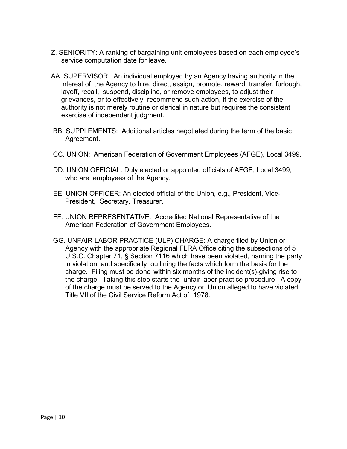- Z. SENIORITY: A ranking of bargaining unit employees based on each employee's service computation date for leave.
- AA. SUPERVISOR: An individual employed by an Agency having authority in the interest of the Agency to hire, direct, assign, promote, reward, transfer, furlough, layoff, recall, suspend, discipline, or remove employees, to adjust their grievances, or to effectively recommend such action, if the exercise of the authority is not merely routine or clerical in nature but requires the consistent exercise of independent judgment.
- BB. SUPPLEMENTS: Additional articles negotiated during the term of the basic Agreement.
- CC. UNION: American Federation of Government Employees (AFGE), Local 3499.
- DD. UNION OFFICIAL: Duly elected or appointed officials of AFGE, Local 3499, who are employees of the Agency.
- EE. UNION OFFICER: An elected official of the Union, e.g., President, Vice-President, Secretary, Treasurer.
- FF. UNION REPRESENTATIVE: Accredited National Representative of the American Federation of Government Employees.
- GG. UNFAIR LABOR PRACTICE (ULP) CHARGE: A charge filed by Union or Agency with the appropriate Regional FLRA Office citing the subsections of 5 U.S.C. Chapter 71, § Section 7116 which have been violated, naming the party in violation, and specifically outlining the facts which form the basis for the charge. Filing must be done within six months of the incident(s)-giving rise to the charge. Taking this step starts the unfair labor practice procedure. A copy of the charge must be served to the Agency or Union alleged to have violated Title VII of the Civil Service Reform Act of 1978.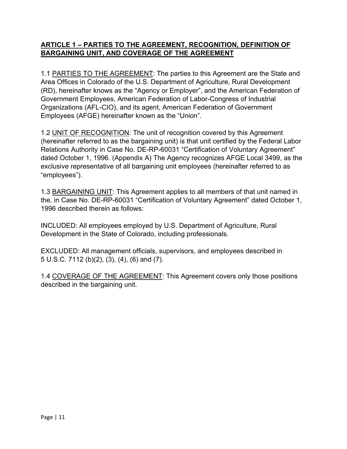#### **ARTICLE 1 – PARTIES TO THE AGREEMENT, RECOGNITION, DEFINITION OF BARGAINING UNIT, AND COVERAGE OF THE AGREEMENT**

1.1 PARTIES TO THE AGREEMENT: The parties to this Agreement are the State and Area Offices in Colorado of the U.S. Department of Agriculture, Rural Development (RD), hereinafter knows as the "Agency or Employer", and the American Federation of Government Employees, American Federation of Labor-Congress of Industrial Organizations (AFL-CIO), and its agent, American Federation of Government Employees (AFGE) hereinafter known as the "Union".

1.2 UNIT OF RECOGNITION: The unit of recognition covered by this Agreement (hereinafter referred to as the bargaining unit) is that unit certified by the Federal Labor Relations Authority in Case No. DE-RP-60031 "Certification of Voluntary Agreement" dated October 1, 1996. (Appendix A) The Agency recognizes AFGE Local 3499, as the exclusive representative of all bargaining unit employees (hereinafter referred to as "employees").

1.3 BARGAINING UNIT: This Agreement applies to all members of that unit named in the, in Case No. DE-RP-60031 "Certification of Voluntary Agreement" dated October 1, 1996 described therein as follows:

INCLUDED: All employees employed by U.S. Department of Agriculture, Rural Development in the State of Colorado, including professionals.

EXCLUDED: All management officials, supervisors, and employees described in 5 U.S.C. 7112 (b)(2), (3), (4), (6) and (7).

1.4 COVERAGE OF THE AGREEMENT: This Agreement covers only those positions described in the bargaining unit.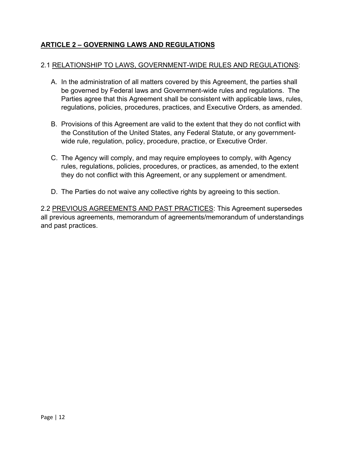# **ARTICLE 2 – GOVERNING LAWS AND REGULATIONS**

#### 2.1 RELATIONSHIP TO LAWS, GOVERNMENT-WIDE RULES AND REGULATIONS:

- A. In the administration of all matters covered by this Agreement, the parties shall be governed by Federal laws and Government-wide rules and regulations. The Parties agree that this Agreement shall be consistent with applicable laws, rules, regulations, policies, procedures, practices, and Executive Orders, as amended.
- B. Provisions of this Agreement are valid to the extent that they do not conflict with the Constitution of the United States, any Federal Statute, or any governmentwide rule, regulation, policy, procedure, practice, or Executive Order.
- C. The Agency will comply, and may require employees to comply, with Agency rules, regulations, policies, procedures, or practices, as amended, to the extent they do not conflict with this Agreement, or any supplement or amendment.
- D. The Parties do not waive any collective rights by agreeing to this section.

2.2 PREVIOUS AGREEMENTS AND PAST PRACTICES: This Agreement supersedes all previous agreements, memorandum of agreements/memorandum of understandings and past practices.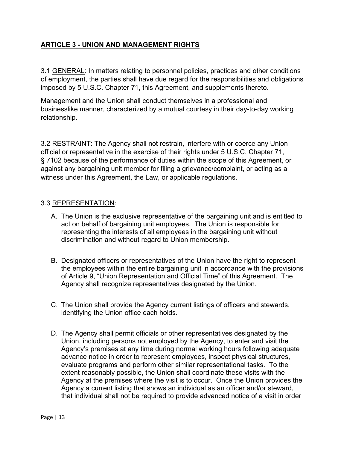# **ARTICLE 3 - UNION AND MANAGEMENT RIGHTS**

3.1 GENERAL: In matters relating to personnel policies, practices and other conditions of employment, the parties shall have due regard for the responsibilities and obligations imposed by 5 U.S.C. Chapter 71, this Agreement, and supplements thereto.

Management and the Union shall conduct themselves in a professional and businesslike manner, characterized by a mutual courtesy in their day-to-day working relationship.

3.2 RESTRAINT: The Agency shall not restrain, interfere with or coerce any Union official or representative in the exercise of their rights under 5 U.S.C. Chapter 71, § 7102 because of the performance of duties within the scope of this Agreement, or against any bargaining unit member for filing a grievance/complaint, or acting as a witness under this Agreement, the Law, or applicable regulations.

#### 3.3 REPRESENTATION:

- A. The Union is the exclusive representative of the bargaining unit and is entitled to act on behalf of bargaining unit employees. The Union is responsible for representing the interests of all employees in the bargaining unit without discrimination and without regard to Union membership.
- of Article 9, "Union Representation and Official Time" of this Agreement. The Agency shall recognize representatives designated by the Union. B. Designated officers or representatives of the Union have the right to represent the employees within the entire bargaining unit in accordance with the provisions
- C. The Union shall provide the Agency current listings of officers and stewards, identifying the Union office each holds.
- Agency at the premises where the visit is to occur. Once the Union provides the D. The Agency shall permit officials or other representatives designated by the Union, including persons not employed by the Agency, to enter and visit the Agency's premises at any time during normal working hours following adequate advance notice in order to represent employees, inspect physical structures, evaluate programs and perform other similar representational tasks. To the extent reasonably possible, the Union shall coordinate these visits with the Agency a current listing that shows an individual as an officer and/or steward, that individual shall not be required to provide advanced notice of a visit in order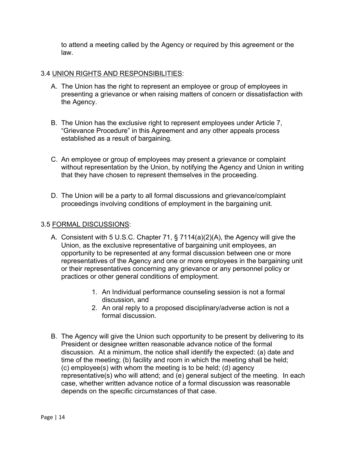to attend a meeting called by the Agency or required by this agreement or the law.

#### 3.4 UNION RIGHTS AND RESPONSIBILITIES:

- A. The Union has the right to represent an employee or group of employees in presenting a grievance or when raising matters of concern or dissatisfaction with the Agency.
- B. The Union has the exclusive right to represent employees under Article 7, "Grievance Procedure" in this Agreement and any other appeals process established as a result of bargaining.
- C. An employee or group of employees may present a grievance or complaint without representation by the Union, by notifying the Agency and Union in writing that they have chosen to represent themselves in the proceeding.
- D. The Union will be a party to all formal discussions and grievance/complaint proceedings involving conditions of employment in the bargaining unit.

#### 3.5 FORMAL DISCUSSIONS:

- A. Consistent with 5 U.S.C. Chapter 71, § 7114(a)(2)(A), the Agency will give the Union, as the exclusive representative of bargaining unit employees, an opportunity to be represented at any formal discussion between one or more representatives of the Agency and one or more employees in the bargaining unit or their representatives concerning any grievance or any personnel policy or practices or other general conditions of employment.
	- 1. An Individual performance counseling session is not a formal discussion, and
	- 2. An oral reply to a proposed disciplinary/adverse action is not a formal discussion.
- B. The Agency will give the Union such opportunity to be present by delivering to its President or designee written reasonable advance notice of the formal discussion. At a minimum, the notice shall identify the expected: (a) date and time of the meeting; (b) facility and room in which the meeting shall be held; (c) employee(s) with whom the meeting is to be held; (d) agency representative(s) who will attend; and (e) general subject of the meeting. In each case, whether written advance notice of a formal discussion was reasonable depends on the specific circumstances of that case.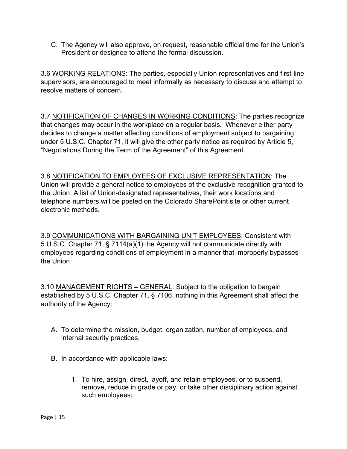C. The Agency will also approve, on request, reasonable official time for the Union's President or designee to attend the formal discussion.

3.6 WORKING RELATIONS: The parties, especially Union representatives and first-line supervisors, are encouraged to meet informally as necessary to discuss and attempt to resolve matters of concern.

3.7 NOTIFICATION OF CHANGES IN WORKING CONDITIONS: The parties recognize that changes may occur in the workplace on a regular basis. Whenever either party decides to change a matter affecting conditions of employment subject to bargaining under 5 U.S.C. Chapter 71, it will give the other party notice as required by Article 5, "Negotiations During the Term of the Agreement" of this Agreement.

 the Union. A list of Union-designated representatives, their work locations and 3.8 NOTIFICATION TO EMPLOYEES OF EXCLUSIVE REPRESENTATION: The Union will provide a general notice to employees of the exclusive recognition granted to telephone numbers will be posted on the Colorado SharePoint site or other current electronic methods.

3.9 COMMUNICATIONS WITH BARGAINING UNIT EMPLOYEES: Consistent with 5 U.S.C. Chapter 71, § 7114(a)(1) the Agency will not communicate directly with employees regarding conditions of employment in a manner that improperly bypasses the Union.

3.10 MANAGEMENT RIGHTS – GENERAL: Subject to the obligation to bargain established by 5 U.S.C. Chapter 71, § 7106, nothing in this Agreement shall affect the authority of the Agency:

- A. To determine the mission, budget, organization, number of employees, and internal security practices.
- B. In accordance with applicable laws:
	- 1. To hire, assign, direct, layoff, and retain employees, or to suspend, remove, reduce in grade or pay, or take other disciplinary action against such employees;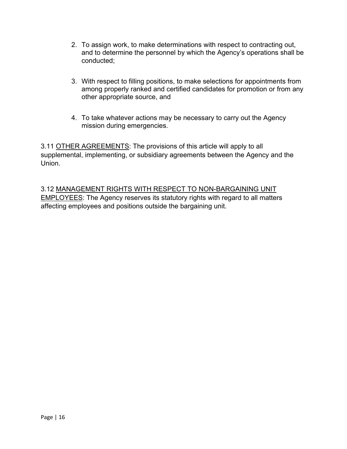- and to determine the personnel by which the Agency's operations shall be 2. To assign work, to make determinations with respect to contracting out, conducted;
- 3. With respect to filling positions, to make selections for appointments from among properly ranked and certified candidates for promotion or from any other appropriate source, and
- 4. To take whatever actions may be necessary to carry out the Agency mission during emergencies.

3.11 OTHER AGREEMENTS: The provisions of this article will apply to all supplemental, implementing, or subsidiary agreements between the Agency and the Union.

3.12 MANAGEMENT RIGHTS WITH RESPECT TO NON-BARGAINING UNIT EMPLOYEES: The Agency reserves its statutory rights with regard to all matters affecting employees and positions outside the bargaining unit.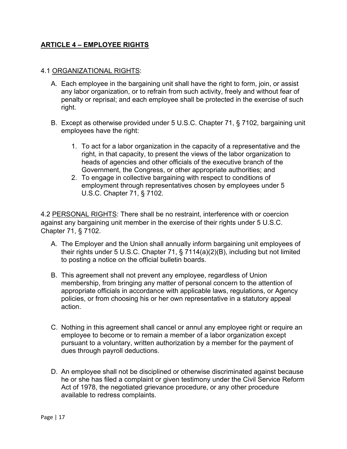#### **ARTICLE 4 – EMPLOYEE RIGHTS**

#### 4.1 ORGANIZATIONAL RIGHTS:

- A. Each employee in the bargaining unit shall have the right to form, join, or assist any labor organization, or to refrain from such activity, freely and without fear of penalty or reprisal; and each employee shall be protected in the exercise of such right.
- B. Except as otherwise provided under 5 U.S.C. Chapter 71, § 7102, bargaining unit employees have the right:
	- 1. To act for a labor organization in the capacity of a representative and the right, in that capacity, to present the views of the labor organization to heads of agencies and other officials of the executive branch of the Government, the Congress, or other appropriate authorities; and
	- 2. To engage in collective bargaining with respect to conditions of employment through representatives chosen by employees under 5 U.S.C. Chapter 71, § 7102.

4.2 PERSONAL RIGHTS: There shall be no restraint, interference with or coercion against any bargaining unit member in the exercise of their rights under 5 U.S.C. Chapter 71, § 7102.

- A. The Employer and the Union shall annually inform bargaining unit employees of their rights under 5 U.S.C. Chapter 71, § 7114(a)(2)(B), including but not limited to posting a notice on the official bulletin boards.
- B. This agreement shall not prevent any employee, regardless of Union membership, from bringing any matter of personal concern to the attention of appropriate officials in accordance with applicable laws, regulations, or Agency policies, or from choosing his or her own representative in a statutory appeal action.
- pursuant to a voluntary, written authorization by a member for the payment of C. Nothing in this agreement shall cancel or annul any employee right or require an employee to become or to remain a member of a labor organization except dues through payroll deductions.
- D. An employee shall not be disciplined or otherwise discriminated against because he or she has filed a complaint or given testimony under the Civil Service Reform Act of 1978, the negotiated grievance procedure, or any other procedure available to redress complaints.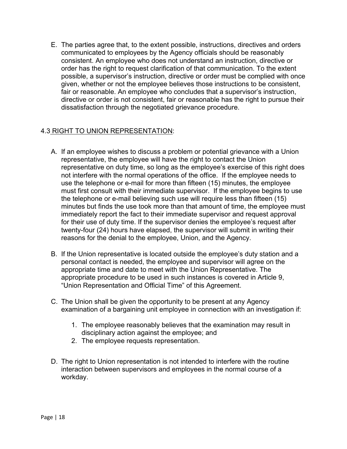E. The parties agree that, to the extent possible, instructions, directives and orders communicated to employees by the Agency officials should be reasonably consistent. An employee who does not understand an instruction, directive or order has the right to request clarification of that communication. To the extent possible, a supervisor's instruction, directive or order must be complied with once given, whether or not the employee believes those instructions to be consistent, fair or reasonable. An employee who concludes that a supervisor's instruction, directive or order is not consistent, fair or reasonable has the right to pursue their dissatisfaction through the negotiated grievance procedure.

#### 4.3 RIGHT TO UNION REPRESENTATION:

- not interfere with the normal operations of the office. If the employee needs to twenty-four (24) hours have elapsed, the supervisor will submit in writing their reasons for the denial to the employee, Union, and the Agency. A. If an employee wishes to discuss a problem or potential grievance with a Union representative, the employee will have the right to contact the Union representative on duty time, so long as the employee's exercise of this right does use the telephone or e-mail for more than fifteen (15) minutes, the employee must first consult with their immediate supervisor. If the employee begins to use the telephone or e-mail believing such use will require less than fifteen (15) minutes but finds the use took more than that amount of time, the employee must immediately report the fact to their immediate supervisor and request approval for their use of duty time. If the supervisor denies the employee's request after
- B. If the Union representative is located outside the employee's duty station and a personal contact is needed, the employee and supervisor will agree on the appropriate time and date to meet with the Union Representative. The appropriate procedure to be used in such instances is covered in Article 9, "Union Representation and Official Time" of this Agreement.
- C. The Union shall be given the opportunity to be present at any Agency examination of a bargaining unit employee in connection with an investigation if:
	- 1. The employee reasonably believes that the examination may result in disciplinary action against the employee; and
	- 2. The employee requests representation.
- D. The right to Union representation is not intended to interfere with the routine interaction between supervisors and employees in the normal course of a workday.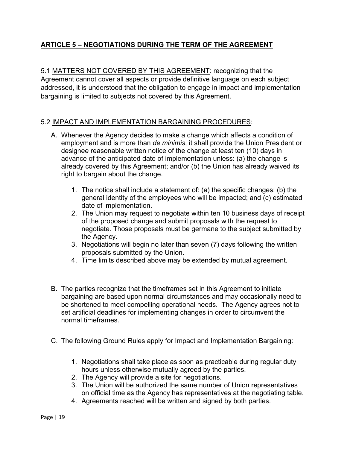# **ARTICLE 5 – NEGOTIATIONS DURING THE TERM OF THE AGREEMENT**

5.1 MATTERS NOT COVERED BY THIS AGREEMENT: recognizing that the Agreement cannot cover all aspects or provide definitive language on each subject addressed, it is understood that the obligation to engage in impact and implementation bargaining is limited to subjects not covered by this Agreement.

#### 5.2 IMPACT AND IMPLEMENTATION BARGAINING PROCEDURES:

- right to bargain about the change. A. Whenever the Agency decides to make a change which affects a condition of employment and is more than *de minimis*, it shall provide the Union President or designee reasonable written notice of the change at least ten (10) days in advance of the anticipated date of implementation unless: (a) the change is already covered by this Agreement; and/or (b) the Union has already waived its
	- 1. The notice shall include a statement of: (a) the specific changes; (b) the general identity of the employees who will be impacted; and (c) estimated date of implementation.
	- 2. The Union may request to negotiate within ten 10 business days of receipt of the proposed change and submit proposals with the request to negotiate. Those proposals must be germane to the subject submitted by the Agency.
	- proposals submitted by the Union. 3. Negotiations will begin no later than seven (7) days following the written
	- 4. Time limits described above may be extended by mutual agreement.
- be shortened to meet compelling operational needs. The Agency agrees not to B. The parties recognize that the timeframes set in this Agreement to initiate bargaining are based upon normal circumstances and may occasionally need to set artificial deadlines for implementing changes in order to circumvent the normal timeframes.
- C. The following Ground Rules apply for Impact and Implementation Bargaining:
	- 1. Negotiations shall take place as soon as practicable during regular duty hours unless otherwise mutually agreed by the parties.
	- 2. The Agency will provide a site for negotiations.
	- 3. The Union will be authorized the same number of Union representatives on official time as the Agency has representatives at the negotiating table.
	- 4. Agreements reached will be written and signed by both parties.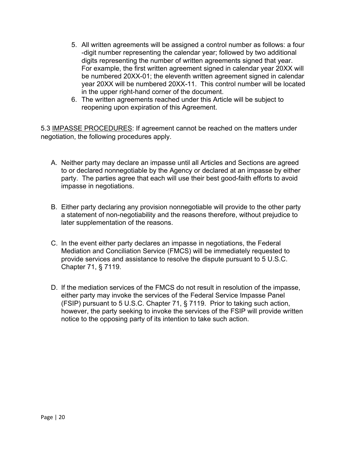- digits representing the number of written agreements signed that year. 5. All written agreements will be assigned a control number as follows: a four -digit number representing the calendar year; followed by two additional For example, the first written agreement signed in calendar year 20XX will be numbered 20XX-01; the eleventh written agreement signed in calendar year 20XX will be numbered 20XX-11. This control number will be located in the upper right-hand corner of the document.
- 6. The written agreements reached under this Article will be subject to reopening upon expiration of this Agreement.

5.3 IMPASSE PROCEDURES: If agreement cannot be reached on the matters under negotiation, the following procedures apply.

- A. Neither party may declare an impasse until all Articles and Sections are agreed to or declared nonnegotiable by the Agency or declared at an impasse by either party. The parties agree that each will use their best good-faith efforts to avoid impasse in negotiations.
- B. Either party declaring any provision nonnegotiable will provide to the other party a statement of non-negotiability and the reasons therefore, without prejudice to later supplementation of the reasons.
- C. In the event either party declares an impasse in negotiations, the Federal Mediation and Conciliation Service (FMCS) will be immediately requested to provide services and assistance to resolve the dispute pursuant to 5 U.S.C. Chapter 71, § 7119.
- D. If the mediation services of the FMCS do not result in resolution of the impasse, either party may invoke the services of the Federal Service Impasse Panel (FSIP) pursuant to 5 U.S.C. Chapter 71, § 7119. Prior to taking such action, however, the party seeking to invoke the services of the FSIP will provide written notice to the opposing party of its intention to take such action.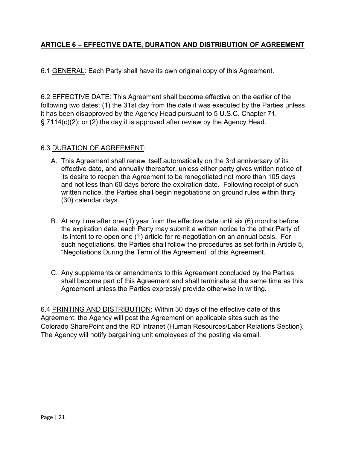# **ARTICLE 6 – EFFECTIVE DATE, DURATION AND DISTRIBUTION OF AGREEMENT**

6.1 GENERAL: Each Party shall have its own original copy of this Agreement.

 following two dates: (1) the 31st day from the date it was executed by the Parties unless § 7114(c)(2); or (2) the day it is approved after review by the Agency Head. 6.2 EFFECTIVE DATE: This Agreement shall become effective on the earlier of the it has been disapproved by the Agency Head pursuant to 5 U.S.C. Chapter 71,

#### 6.3 DURATION OF AGREEMENT:

- A. This Agreement shall renew itself automatically on the 3rd anniversary of its effective date, and annually thereafter, unless either party gives written notice of its desire to reopen the Agreement to be renegotiated not more than 105 days and not less than 60 days before the expiration date. Following receipt of such written notice, the Parties shall begin negotiations on ground rules within thirty (30) calendar days.
- B. At any time after one (1) year from the effective date until six (6) months before the expiration date, each Party may submit a written notice to the other Party of its intent to re-open one (1) article for re-negotiation on an annual basis. For such negotiations, the Parties shall follow the procedures as set forth in Article 5, "Negotiations During the Term of the Agreement" of this Agreement.
- C. Any supplements or amendments to this Agreement concluded by the Parties shall become part of this Agreement and shall terminate at the same time as this Agreement unless the Parties expressly provide otherwise in writing.

Colorado SharePoint and the RD Intranet (Human Resources/Labor Relations Section).<br>The Agency will notify bargaining unit employees of the posting via email. 6.4 PRINTING AND DISTRIBUTION: Within 30 days of the effective date of this Agreement, the Agency will post the Agreement on applicable sites such as the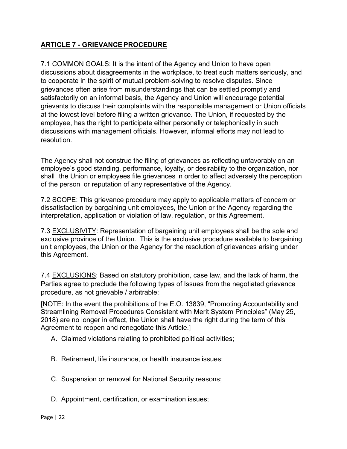# **ARTICLE 7 - GRIEVANCE PROCEDURE**

7.1 COMMON GOALS: It is the intent of the Agency and Union to have open discussions about disagreements in the workplace, to treat such matters seriously, and to cooperate in the spirit of mutual problem-solving to resolve disputes. Since grievances often arise from misunderstandings that can be settled promptly and satisfactorily on an informal basis, the Agency and Union will encourage potential grievants to discuss their complaints with the responsible management or Union officials at the lowest level before filing a written grievance. The Union, if requested by the employee, has the right to participate either personally or telephonically in such discussions with management officials. However, informal efforts may not lead to resolution.

 The Agency shall not construe the filing of grievances as reflecting unfavorably on an employee's good standing, performance, loyalty, or desirability to the organization, nor shall the Union or employees file grievances in order to affect adversely the perception of the person or reputation of any representative of the Agency.

7.2 SCOPE: This grievance procedure may apply to applicable matters of concern or dissatisfaction by bargaining unit employees, the Union or the Agency regarding the interpretation, application or violation of law, regulation, or this Agreement.

7.3 <u>EXCLUSIVITY</u>: Representation of bargaining unit employees shall be the sole and exclusive province of the Union. This is the exclusive procedure available to bargaining unit employees, the Union or the Agency for the resolution of grievances arising under this Agreement.

 Parties agree to preclude the following types of Issues from the negotiated grievance 7.4 EXCLUSIONS: Based on statutory prohibition, case law, and the lack of harm, the procedure, as not grievable / arbitrable:

 2018) are no longer in effect, the Union shall have the right during the term of this [NOTE: In the event the prohibitions of the E.O. 13839, "Promoting Accountability and Streamlining Removal Procedures Consistent with Merit System Principles" (May 25, Agreement to reopen and renegotiate this Article.]

- A. Claimed violations relating to prohibited political activities;
- B. Retirement, life insurance, or health insurance issues;
- C. Suspension or removal for National Security reasons;
- D. Appointment, certification, or examination issues;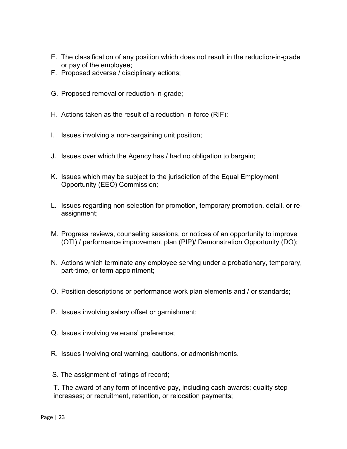- E. The classification of any position which does not result in the reduction-in-grade or pay of the employee;
- F. Proposed adverse / disciplinary actions;
- G. Proposed removal or reduction-in-grade;
- H. Actions taken as the result of a reduction-in-force (RIF);
- I. Issues involving a non-bargaining unit position;
- J. Issues over which the Agency has / had no obligation to bargain;
- K. Issues which may be subject to the jurisdiction of the Equal Employment Opportunity (EEO) Commission;
- L. Issues regarding non-selection for promotion, temporary promotion, detail, or reassignment;
- M. Progress reviews, counseling sessions, or notices of an opportunity to improve (OTI) / performance improvement plan (PIP)/ Demonstration Opportunity (DO);
- N. Actions which terminate any employee serving under a probationary, temporary, part-time, or term appointment;
- O. Position descriptions or performance work plan elements and / or standards;
- P. Issues involving salary offset or garnishment;
- Q. Issues involving veterans' preference;
- R. Issues involving oral warning, cautions, or admonishments.
- S. The assignment of ratings of record;

T. The award of any form of incentive pay, including cash awards; quality step increases; or recruitment, retention, or relocation payments;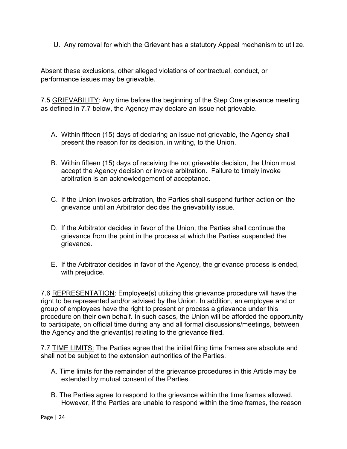U. Any removal for which the Grievant has a statutory Appeal mechanism to utilize.

performance issues may be grievable. Absent these exclusions, other alleged violations of contractual, conduct, or

as defined in 7.7 below, the Agency may declare an issue not grievable. 7.5 GRIEVABILITY: Any time before the beginning of the Step One grievance meeting

- A. Within fifteen (15) days of declaring an issue not grievable, the Agency shall present the reason for its decision, in writing, to the Union.
- B. Within fifteen (15) days of receiving the not grievable decision, the Union must accept the Agency decision or invoke arbitration. Failure to timely invoke arbitration is an acknowledgement of acceptance.
- C. If the Union invokes arbitration, the Parties shall suspend further action on the grievance until an Arbitrator decides the grievability issue.
- D. If the Arbitrator decides in favor of the Union, the Parties shall continue the grievance from the point in the process at which the Parties suspended the grievance.
- E. If the Arbitrator decides in favor of the Agency, the grievance process is ended, with prejudice.

7.6 REPRESENTATION: Employee(s) utilizing this grievance procedure will have the right to be represented and/or advised by the Union. In addition, an employee and or group of employees have the right to present or process a grievance under this procedure on their own behalf. In such cases, the Union will be afforded the opportunity to participate, on official time during any and all formal discussions/meetings, between the Agency and the grievant(s) relating to the grievance filed.

shall not be subject to the extension authorities of the Parties. 7.7 TIME LIMITS: The Parties agree that the initial filing time frames are absolute and

- A. Time limits for the remainder of the grievance procedures in this Article may be extended by mutual consent of the Parties.
- B. The Parties agree to respond to the grievance within the time frames allowed. However, if the Parties are unable to respond within the time frames, the reason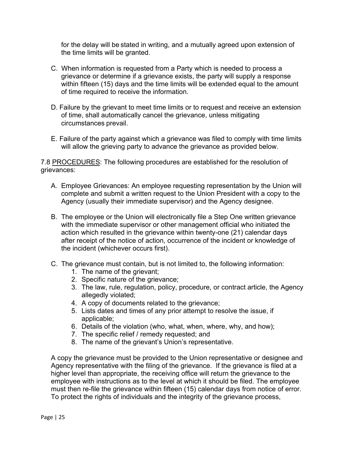for the delay will be stated in writing, and a mutually agreed upon extension of the time limits will be granted.

- C. When information is requested from a Party which is needed to process a grievance or determine if a grievance exists, the party will supply a response within fifteen (15) days and the time limits will be extended equal to the amount of time required to receive the information.
- circumstances prevail. D. Failure by the grievant to meet time limits or to request and receive an extension of time, shall automatically cancel the grievance, unless mitigating
- E. Failure of the party against which a grievance was filed to comply with time limits will allow the grieving party to advance the grievance as provided below.

7.8 PROCEDURES: The following procedures are established for the resolution of grievances:

- A. Employee Grievances: An employee requesting representation by the Union will complete and submit a written request to the Union President with a copy to the Agency (usually their immediate supervisor) and the Agency designee.
- the incident (whichever occurs first). B. The employee or the Union will electronically file a Step One written grievance with the immediate supervisor or other management official who initiated the action which resulted in the grievance within twenty-one (21) calendar days after receipt of the notice of action, occurrence of the incident or knowledge of
- C. The grievance must contain, but is not limited to, the following information:
	- 1. The name of the grievant;
	- 2. Specific nature of the grievance;
	- 3. The law, rule, regulation, policy, procedure, or contract article, the Agency allegedly violated;
	- 4. A copy of documents related to the grievance;
	- 5. Lists dates and times of any prior attempt to resolve the issue, if applicable;
	- 6. Details of the violation (who, what, when, where, why, and how);
	- 7. The specific relief / remedy requested; and
	- 8. The name of the grievant's Union's representative.

A copy the grievance must be provided to the Union representative or designee and Agency representative with the filing of the grievance. If the grievance is filed at a higher level than appropriate, the receiving office will return the grievance to the employee with instructions as to the level at which it should be filed. The employee must then re-file the grievance within fifteen (15) calendar days from notice of error. To protect the rights of individuals and the integrity of the grievance process,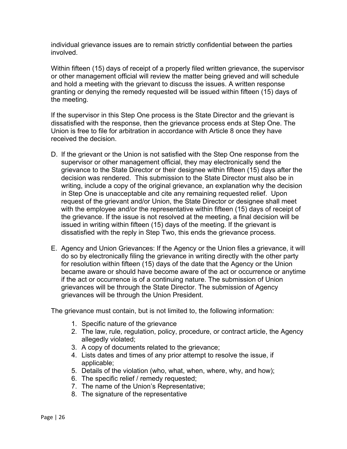individual grievance issues are to remain strictly confidential between the parties involved.

Within fifteen (15) days of receipt of a properly filed written grievance, the supervisor or other management official will review the matter being grieved and will schedule and hold a meeting with the grievant to discuss the issues. A written response granting or denying the remedy requested will be issued within fifteen (15) days of the meeting.

If the supervisor in this Step One process is the State Director and the grievant is dissatisfied with the response, then the grievance process ends at Step One. The Union is free to file for arbitration in accordance with Article 8 once they have received the decision.

- with the employee and/or the representative within fifteen (15) days of receipt of issued in writing within fifteen (15) days of the meeting. If the grievant is D. If the grievant or the Union is not satisfied with the Step One response from the supervisor or other management official, they may electronically send the grievance to the State Director or their designee within fifteen (15) days after the decision was rendered. This submission to the State Director must also be in writing, include a copy of the original grievance, an explanation why the decision in Step One is unacceptable and cite any remaining requested relief. Upon request of the grievant and/or Union, the State Director or designee shall meet the grievance. If the issue is not resolved at the meeting, a final decision will be dissatisfied with the reply in Step Two, this ends the grievance process.
- became aware or should have become aware of the act or occurrence or anytime E. Agency and Union Grievances: If the Agency or the Union files a grievance, it will do so by electronically filing the grievance in writing directly with the other party for resolution within fifteen (15) days of the date that the Agency or the Union if the act or occurrence is of a continuing nature. The submission of Union grievances will be through the State Director. The submission of Agency grievances will be through the Union President.

The grievance must contain, but is not limited to, the following information:

- 1. Specific nature of the grievance
- 2. The law, rule, regulation, policy, procedure, or contract article, the Agency allegedly violated;
- 3. A copy of documents related to the grievance;
- 4. Lists dates and times of any prior attempt to resolve the issue, if applicable;
- 5. Details of the violation (who, what, when, where, why, and how);
- 6. The specific relief / remedy requested;
- 7. The name of the Union's Representative;
- 8. The signature of the representative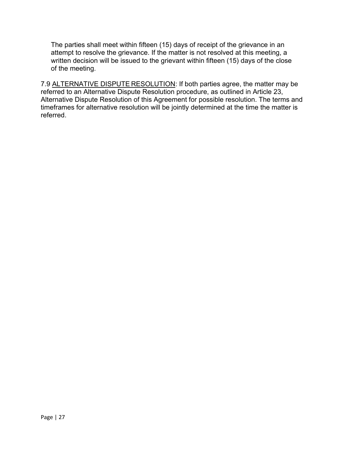The parties shall meet within fifteen (15) days of receipt of the grievance in an attempt to resolve the grievance. If the matter is not resolved at this meeting, a written decision will be issued to the grievant within fifteen (15) days of the close of the meeting.

7.9 <u>ALTERNATIVE DISPUTE RESOLUTION</u>: If both parties agree, the matter may be referred to an Alternative Dispute Resolution procedure, as outlined in Article 23, Alternative Dispute Resolution of this Agreement for possible resolution. The terms and timeframes for alternative resolution will be jointly determined at the time the matter is referred.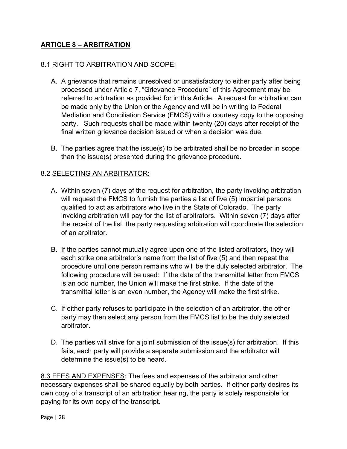### **ARTICLE 8 – ARBITRATION**

#### 8.1 RIGHT TO ARBITRATION AND SCOPE:

- referred to arbitration as provided for in this Article. A request for arbitration can be made only by the Union or the Agency and will be in writing to Federal party. Such requests shall be made within twenty (20) days after receipt of the A. A grievance that remains unresolved or unsatisfactory to either party after being processed under Article 7, "Grievance Procedure" of this Agreement may be Mediation and Conciliation Service (FMCS) with a courtesy copy to the opposing final written grievance decision issued or when a decision was due.
- B. The parties agree that the issue(s) to be arbitrated shall be no broader in scope than the issue(s) presented during the grievance procedure.

#### 8.2 SELECTING AN ARBITRATOR:

- A. Within seven (7) days of the request for arbitration, the party invoking arbitration will request the FMCS to furnish the parties a list of five (5) impartial persons qualified to act as arbitrators who live in the State of Colorado. The party invoking arbitration will pay for the list of arbitrators. Within seven (7) days after the receipt of the list, the party requesting arbitration will coordinate the selection of an arbitrator.
- B. If the parties cannot mutually agree upon one of the listed arbitrators, they will each strike one arbitrator's name from the list of five (5) and then repeat the procedure until one person remains who will be the duly selected arbitrator. The following procedure will be used: If the date of the transmittal letter from FMCS transmittal letter is an even number, the Agency will make the first strike. is an odd number, the Union will make the first strike. If the date of the
- C. If either party refuses to participate in the selection of an arbitrator, the other party may then select any person from the FMCS list to be the duly selected arbitrator.
- D. The parties will strive for a joint submission of the issue(s) for arbitration. If this fails, each party will provide a separate submission and the arbitrator will determine the issue(s) to be heard.

 necessary expenses shall be shared equally by both parties. If either party desires its 8.3 FEES AND EXPENSES: The fees and expenses of the arbitrator and other own copy of a transcript of an arbitration hearing, the party is solely responsible for paying for its own copy of the transcript.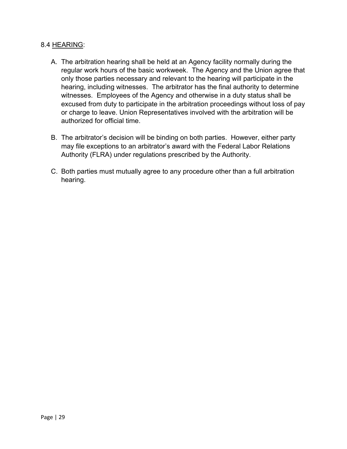#### 8.4 HEARING:

- regular work hours of the basic workweek. The Agency and the Union agree that excused from duty to participate in the arbitration proceedings without loss of pay A. The arbitration hearing shall be held at an Agency facility normally during the only those parties necessary and relevant to the hearing will participate in the hearing, including witnesses. The arbitrator has the final authority to determine witnesses. Employees of the Agency and otherwise in a duty status shall be or charge to leave. Union Representatives involved with the arbitration will be authorized for official time.
- B. The arbitrator's decision will be binding on both parties. However, either party may file exceptions to an arbitrator's award with the Federal Labor Relations Authority (FLRA) under regulations prescribed by the Authority.
- C. Both parties must mutually agree to any procedure other than a full arbitration hearing.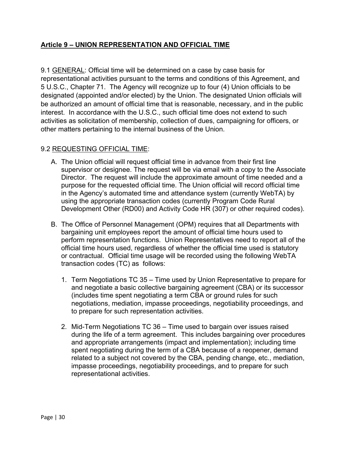#### **Article 9 – UNION REPRESENTATION AND OFFICIAL TIME**

 5 U.S.C., Chapter 71. The Agency will recognize up to four (4) Union officials to be 9.1 GENERAL: Official time will be determined on a case by case basis for representational activities pursuant to the terms and conditions of this Agreement, and designated (appointed and/or elected) by the Union. The designated Union officials will be authorized an amount of official time that is reasonable, necessary, and in the public interest. In accordance with the U.S.C., such official time does not extend to such activities as solicitation of membership, collection of dues, campaigning for officers, or other matters pertaining to the internal business of the Union.

#### 9.2 REQUESTING OFFICIAL TIME:

- in the Agency's automated time and attendance system (currently WebTA) by A. The Union official will request official time in advance from their first line supervisor or designee. The request will be via email with a copy to the Associate Director. The request will include the approximate amount of time needed and a purpose for the requested official time. The Union official will record official time using the appropriate transaction codes (currently Program Code Rural Development Other (RD00) and Activity Code HR (307) or other required codes).
- transaction codes (TC) as follows: B. The Office of Personnel Management (OPM) requires that all Departments with bargaining unit employees report the amount of official time hours used to perform representation functions. Union Representatives need to report all of the official time hours used, regardless of whether the official time used is statutory or contractual. Official time usage will be recorded using the following WebTA
	- and negotiate a basic collective bargaining agreement (CBA) or its successor 1. Term Negotiations TC 35 – Time used by Union Representative to prepare for (includes time spent negotiating a term CBA or ground rules for such negotiations, mediation, impasse proceedings, negotiability proceedings, and to prepare for such representation activities.
	- related to a subject not covered by the CBA, pending change, etc., mediation, 2. Mid-Term Negotiations TC 36 – Time used to bargain over issues raised during the life of a term agreement. This includes bargaining over procedures and appropriate arrangements (impact and implementation); including time spent negotiating during the term of a CBA because of a reopener, demand impasse proceedings, negotiability proceedings, and to prepare for such representational activities.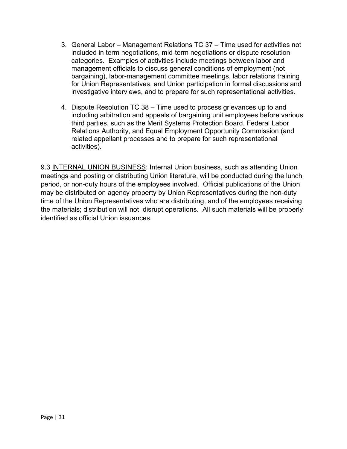- 3. General Labor Management Relations TC 37 –Time used for activities not included in term negotiations, mid-term negotiations or dispute resolution categories. Examples of activities include meetings between labor and management officials to discuss general conditions of employment (not bargaining), labor-management committee meetings, labor relations training for Union Representatives, and Union participation in formal discussions and investigative interviews, and to prepare for such representational activities.
- 4. Dispute Resolution TC 38 Time used to process grievances up to and including arbitration and appeals of bargaining unit employees before various third parties, such as the Merit Systems Protection Board, Federal Labor Relations Authority, and Equal Employment Opportunity Commission (and related appellant processes and to prepare for such representational activities).

9.3 INTERNAL UNION BUSINESS: Internal Union business, such as attending Union meetings and posting or distributing Union literature, will be conducted during the lunch period, or non-duty hours of the employees involved. Official publications of the Union may be distributed on agency property by Union Representatives during the non-duty time of the Union Representatives who are distributing, and of the employees receiving the materials; distribution will not disrupt operations. All such materials will be properly identified as official Union issuances.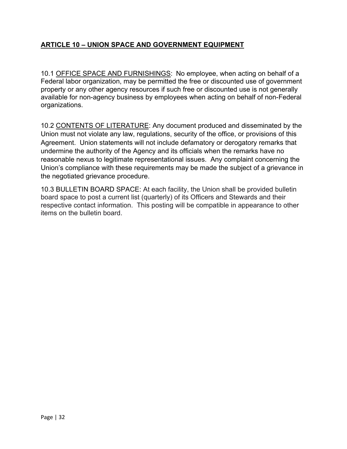# **ARTICLE 10 – UNION SPACE AND GOVERNMENT EQUIPMENT**

 10.1 OFFICE SPACE AND FURNISHINGS: No employee, when acting on behalf of a Federal labor organization, may be permitted the free or discounted use of government property or any other agency resources if such free or discounted use is not generally available for non-agency business by employees when acting on behalf of non-Federal organizations.

 Union must not violate any law, regulations, security of the office, or provisions of this 10.2 CONTENTS OF LITERATURE: Any document produced and disseminated by the Agreement. Union statements will not include defamatory or derogatory remarks that undermine the authority of the Agency and its officials when the remarks have no reasonable nexus to legitimate representational issues. Any complaint concerning the Union's compliance with these requirements may be made the subject of a grievance in the negotiated grievance procedure.

 board space to post a current list (quarterly) of its Officers and Stewards and their items on the bulletin board. 10.3 BULLETIN BOARD SPACE: At each facility, the Union shall be provided bulletin respective contact information. This posting will be compatible in appearance to other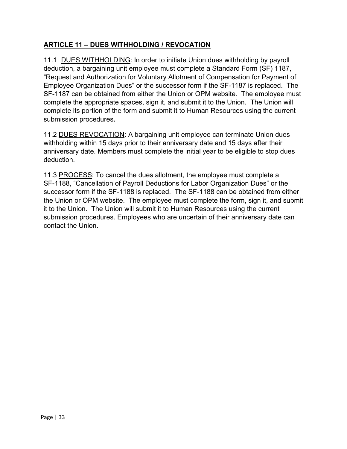# **ARTICLE 11 – DUES WITHHOLDING / REVOCATION**

 deduction, a bargaining unit employee must complete a Standard Form (SF) 1187, 11.1 DUES WITHHOLDING: In order to initiate Union dues withholding by payroll "Request and Authorization for Voluntary Allotment of Compensation for Payment of Employee Organization Dues" or the successor form if the SF-1187 is replaced. The SF-1187 can be obtained from either the Union or OPM website. The employee must complete the appropriate spaces, sign it, and submit it to the Union. The Union will complete its portion of the form and submit it to Human Resources using the current submission procedures**.** 

deduction. 11.2 DUES REVOCATION: A bargaining unit employee can terminate Union dues withholding within 15 days prior to their anniversary date and 15 days after their anniversary date. Members must complete the initial year to be eligible to stop dues

11.3 PROCESS: To cancel the dues allotment, the employee must complete a SF-1188, "Cancellation of Payroll Deductions for Labor Organization Dues" or the successor form if the SF-1188 is replaced. The SF-1188 can be obtained from either the Union or OPM website. The employee must complete the form, sign it, and submit it to the Union. The Union will submit it to Human Resources using the current submission procedures. Employees who are uncertain of their anniversary date can contact the Union.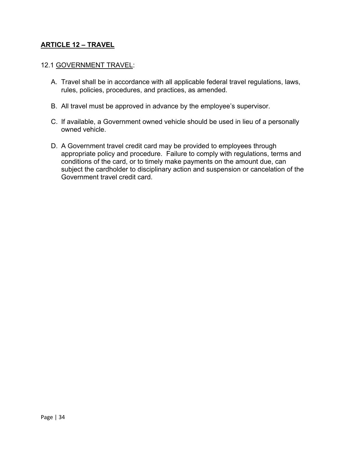#### **ARTICLE 12 – TRAVEL**

#### 12.1 GOVERNMENT TRAVEL:

- A. Travel shall be in accordance with all applicable federal travel regulations, laws, rules, policies, procedures, and practices, as amended.
- B. All travel must be approved in advance by the employee's supervisor.
- C. If available, a Government owned vehicle should be used in lieu of a personally owned vehicle.
- D. A Government travel credit card may be provided to employees through appropriate policy and procedure. Failure to comply with regulations, terms and conditions of the card, or to timely make payments on the amount due, can subject the cardholder to disciplinary action and suspension or cancelation of the Government travel credit card.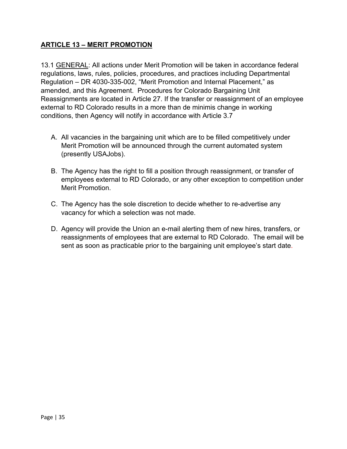# **ARTICLE 13 – MERIT PROMOTION**

 Regulation – DR 4030-335-002, "Merit Promotion and Internal Placement," as amended, and this Agreement. Procedures for Colorado Bargaining Unit 13.1 GENERAL: All actions under Merit Promotion will be taken in accordance federal regulations, laws, rules, policies, procedures, and practices including Departmental Reassignments are located in Article 27. If the transfer or reassignment of an employee external to RD Colorado results in a more than de minimis change in working conditions, then Agency will notify in accordance with Article 3.7

- A. All vacancies in the bargaining unit which are to be filled competitively under Merit Promotion will be announced through the current automated system (presently USAJobs).
- Merit Promotion. B. The Agency has the right to fill a position through reassignment, or transfer of employees external to RD Colorado, or any other exception to competition under
- vacancy for which a selection was not made. C. The Agency has the sole discretion to decide whether to re-advertise any
- D. Agency will provide the Union an e-mail alerting them of new hires, transfers, or reassignments of employees that are external to RD Colorado. The email will be sent as soon as practicable prior to the bargaining unit employee's start date.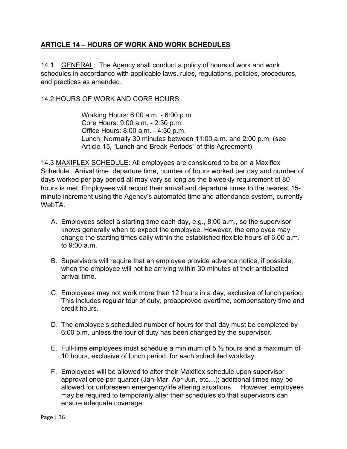# **ARTICLE 14 – HOURS OF WORK AND WORK SCHEDULES**

and practices as amended. 14.1 GENERAL: The Agency shall conduct a policy of hours of work and work schedules in accordance with applicable laws, rules, regulations, policies, procedures,

#### 14.2 HOURS OF WORK AND CORE HOURS:

 Working Hours: 6:00 a.m. - 6:00 p.m. Office Hours: 8:00 a.m. - 4:30 p.m. Core Hours: 9:00 a.m. - 2:30 p.m. Lunch: Normally 30 minutes between 11:00 a.m. and 2:00 p.m. (see Article 15, "Lunch and Break Periods" of this Agreement)

WebTA. 14.3 MAXIFLEX SCHEDULE: All employees are considered to be on a Maxiflex Schedule. Arrival time, departure time, number of hours worked per day and number of days worked per pay period all may vary so long as the biweekly requirement of 80 hours is met. Employees will record their arrival and departure times to the nearest 15 minute increment using the Agency's automated time and attendance system, currently

- A. Employees select a starting time each day, e.g., 8:00 a.m., so the supervisor knows generally when to expect the employee. However, the employee may change the starting times daily within the established flexible hours of 6:00 a.m. to 9:00 a.m.
- B. Supervisors will require that an employee provide advance notice, if possible, when the employee will not be arriving within 30 minutes of their anticipated arrival time.
- C. Employees may not work more than 12 hours in a day, exclusive of lunch period. This includes regular tour of duty, preapproved overtime, compensatory time and credit hours.
- D. The employee's scheduled number of hours for that day must be completed by 6:00 p.m. unless the tour of duty has been changed by the supervisor.
- E. Full-time employees must schedule a minimum of 5  $\frac{1}{2}$  hours and a maximum of 10 hours, exclusive of lunch period, for each scheduled workday.
- allowed for unforeseen emergency/life altering situations. However, employees F. Employees will be allowed to alter their Maxiflex schedule upon supervisor approval once per quarter (Jan-Mar, Apr-Jun, etc…); additional times may be may be required to temporarily alter their schedules so that supervisors can ensure adequate coverage.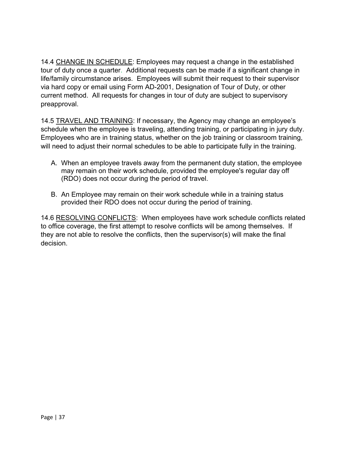tour of duty once a quarter. Additional requests can be made if a significant change in via hard copy or email using Form AD-2001, Designation of Tour of Duty, or other 14.4 CHANGE IN SCHEDULE: Employees may request a change in the established life/family circumstance arises. Employees will submit their request to their supervisor current method. All requests for changes in tour of duty are subject to supervisory preapproval.

will need to adjust their normal schedules to be able to participate fully in the training. 14.5 TRAVEL AND TRAINING: If necessary, the Agency may change an employee's schedule when the employee is traveling, attending training, or participating in jury duty. Employees who are in training status, whether on the job training or classroom training,

- A. When an employee travels away from the permanent duty station, the employee to may remain on their work schedule, provided the employee's regular day off (RDO) does not occur during the period of travel.
- B. An Employee may remain on their work schedule while in a training status provided their RDO does not occur during the period of training.

 to office coverage, the first attempt to resolve conflicts will be among themselves. If decision. 14.6 RESOLVING CONFLICTS: When employees have work schedule conflicts related they are not able to resolve the conflicts, then the supervisor(s) will make the final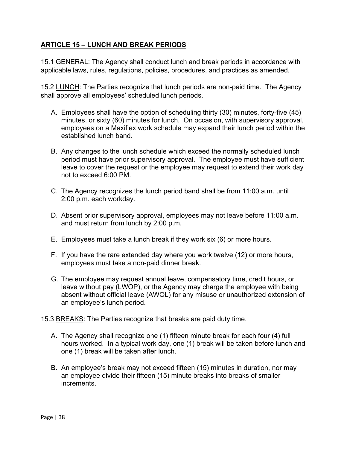#### **ARTICLE 15 – LUNCH AND BREAK PERIODS**

applicable laws, rules, regulations, policies, procedures, and practices as amended. 15.1 GENERAL: The Agency shall conduct lunch and break periods in accordance with

applicable laws, rules, regulations, policies, procedures, and practices as amended.<br>15.2 <u>LUNCH</u>: The Parties recognize that lunch periods are non-paid time. The Agency shall approve all employees' scheduled lunch periods.

- established lunch band. A. Employees shall have the option of scheduling thirty (30) minutes, forty-five (45) minutes, or sixty (60) minutes for lunch. On occasion, with supervisory approval, employees on a Maxiflex work schedule may expand their lunch period within the
- B. Any changes to the lunch schedule which exceed the normally scheduled lunch period must have prior supervisory approval. The employee must have sufficient leave to cover the request or the employee may request to extend their work day not to exceed 6:00 PM.
- 2:00 p.m. each workday. C. The Agency recognizes the lunch period band shall be from 11:00 a.m. until
- D. Absent prior supervisory approval, employees may not leave before 11:00 a.m. and must return from lunch by 2:00 p.m.
- E. Employees must take a lunch break if they work six (6) or more hours.
- emplovees must take a non-paid dinner break. F. If you have the rare extended day where you work twelve (12) or more hours,
- G. The employee may request annual leave, compensatory time, credit hours, or leave without pay (LWOP), or the Agency may charge the employee with being absent without official leave (AWOL) for any misuse or unauthorized extension of an employee's lunch period.

15.3 BREAKS: The Parties recognize that breaks are paid duty time.

- A. The Agency shall recognize one (1) fifteen minute break for each four (4) full hours worked. In a typical work day, one (1) break will be taken before lunch and one (1) break will be taken after lunch.
- an employee divide their fifteen (15) minute breaks into breaks of smaller increments. B. An employee's break may not exceed fifteen (15) minutes in duration, nor may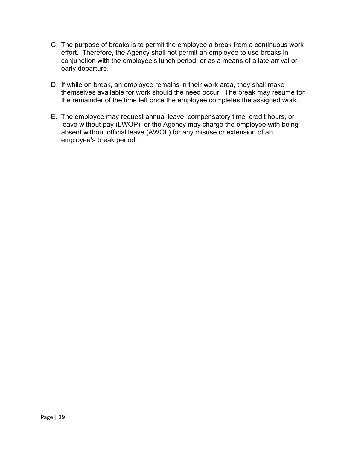- effort. Therefore, the Agency shall not permit an employee to use breaks in early departure. C. The purpose of breaks is to permit the employee a break from a continuous work conjunction with the employee's lunch period, or as a means of a late arrival or
- themselves available for work should the need occur. The break may resume for D. If while on break, an employee remains in their work area, they shall make the remainder of the time left once the employee completes the assigned work.
- E. The employee may request annual leave, compensatory time, credit hours, or leave without pay (LWOP), or the Agency may charge the employee with being absent without official leave (AWOL) for any misuse or extension of an employee's break period.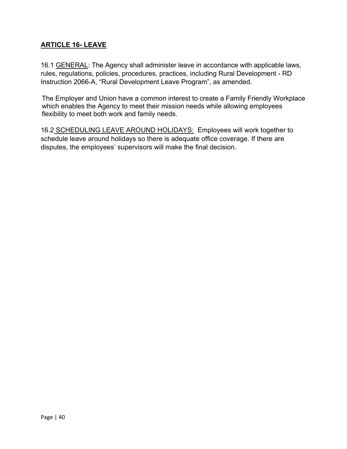# **ARTICLE 16- LEAVE**

Instruction 2066-A, "Rural Development Leave Program", as amended. 16.1 GENERAL: The Agency shall administer leave in accordance with applicable laws, rules, regulations, policies, procedures, practices, including Rural Development - RD

The Employer and Union have a common interest to create a Family Friendly Workplace which enables the Agency to meet their mission needs while allowing employees flexibility to meet both work and family needs.

16.2 SCHEDULING LEAVE AROUND HOLIDAYS: Employees will work together to disputes, the employees' supervisors will make the final decision. schedule leave around holidays so there is adequate office coverage. If there are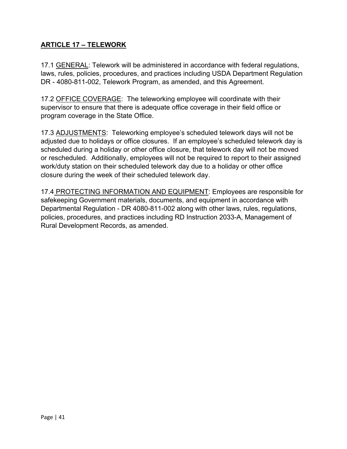# **ARTICLE 17 – TELEWORK**

17.1 GENERAL: Telework will be administered in accordance with federal regulations, laws, rules, policies, procedures, and practices including USDA Department Regulation DR - 4080-811-002, Telework Program, as amended, and this Agreement.

17.2 OFFICE COVERAGE: The teleworking employee will coordinate with their supervisor to ensure that there is adequate office coverage in their field office or program coverage in the State Office.

17.3 ADJUSTMENTS: Teleworking employee's scheduled telework days will not be adjusted due to holidays or office closures. If an employee's scheduled telework day is scheduled during a holiday or other office closure, that telework day will not be moved or rescheduled. Additionally, employees will not be required to report to their assigned work/duty station on their scheduled telework day due to a holiday or other office closure during the week of their scheduled telework day.

17.4 PROTECTING INFORMATION AND EQUIPMENT: Employees are responsible for safekeeping Government materials, documents, and equipment in accordance with Departmental Regulation - DR 4080-811-002 along with other laws, rules, regulations, policies, procedures, and practices including RD Instruction 2033-A, Management of Rural Development Records, as amended.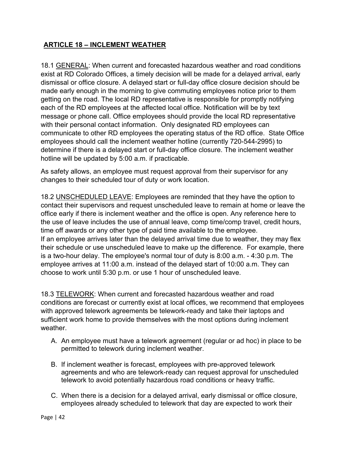#### **ARTICLE 18 – INCLEMENT WEATHER**

 each of the RD employees at the affected local office. Notification will be by text employees should call the inclement weather hotline (currently 720-544-2995) to 18.1 GENERAL: When current and forecasted hazardous weather and road conditions exist at RD Colorado Offices, a timely decision will be made for a delayed arrival, early dismissal or office closure. A delayed start or full-day office closure decision should be made early enough in the morning to give commuting employees notice prior to them getting on the road. The local RD representative is responsible for promptly notifying message or phone call. Office employees should provide the local RD representative with their personal contact information. Only designated RD employees can communicate to other RD employees the operating status of the RD office. State Office determine if there is a delayed start or full-day office closure. The inclement weather hotline will be updated by 5:00 a.m. if practicable.

As safety allows, an employee must request approval from their supervisor for any changes to their scheduled tour of duty or work location.

 is a two-hour delay. The employee's normal tour of duty is 8:00 a.m. - 4:30 p.m. The employee arrives at 11:00 a.m. instead of the delayed start of 10:00 a.m. They can 18.2 UNSCHEDULED LEAVE: Employees are reminded that they have the option to contact their supervisors and request unscheduled leave to remain at home or leave the office early if there is inclement weather and the office is open. Any reference here to the use of leave includes the use of annual leave, comp time/comp travel, credit hours, time off awards or any other type of paid time available to the employee. If an employee arrives later than the delayed arrival time due to weather, they may flex their schedule or use unscheduled leave to make up the difference. For example, there choose to work until 5:30 p.m. or use 1 hour of unscheduled leave.

 conditions are forecast or currently exist at local offices, we recommend that employees 18.3 TELEWORK: When current and forecasted hazardous weather and road with approved telework agreements be telework-ready and take their laptops and sufficient work home to provide themselves with the most options during inclement weather.

- A. An employee must have a telework agreement (regular or ad hoc) in place to be permitted to telework during inclement weather.
- B. If inclement weather is forecast, employees with pre-approved telework agreements and who are telework-ready can request approval for unscheduled telework to avoid potentially hazardous road conditions or heavy traffic.
- C. When there is a decision for a delayed arrival, early dismissal or office closure, employees already scheduled to telework that day are expected to work their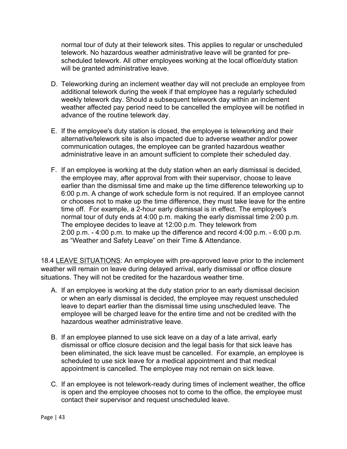normal tour of duty at their telework sites. This applies to regular or unscheduled telework. No hazardous weather administrative leave will be granted for prescheduled telework. All other employees working at the local office/duty station will be granted administrative leave.

- D. Teleworking during an inclement weather day will not preclude an employee from additional telework during the week if that employee has a regularly scheduled weekly telework day. Should a subsequent telework day within an inclement weather affected pay period need to be cancelled the employee will be notified in advance of the routine telework day.
- E. If the employee's duty station is closed, the employee is teleworking and their alternative/telework site is also impacted due to adverse weather and/or power communication outages, the employee can be granted hazardous weather administrative leave in an amount sufficient to complete their scheduled day.
- normal tour of duty ends at 4:00 p.m. making the early dismissal time 2:00 p.m. The employee decides to leave at 12:00 p.m. They telework from 2:00 p.m. - 4:00 p.m. to make up the difference and record 4:00 p.m. - 6:00 p.m. F. If an employee is working at the duty station when an early dismissal is decided, the employee may, after approval from with their supervisor, choose to leave earlier than the dismissal time and make up the time difference teleworking up to 6:00 p.m. A change of work schedule form is not required. If an employee cannot or chooses not to make up the time difference, they must take leave for the entire time off. For example, a 2-hour early dismissal is in effect. The employee's as "Weather and Safety Leave" on their Time & Attendance.

18.4 LEAVE SITUATIONS: An employee with pre-approved leave prior to the inclement weather will remain on leave during delayed arrival, early dismissal or office closure situations. They will not be credited for the hazardous weather time.

- A. If an employee is working at the duty station prior to an early dismissal decision or when an early dismissal is decided, the employee may request unscheduled leave to depart earlier than the dismissal time using unscheduled leave. The employee will be charged leave for the entire time and not be credited with the hazardous weather administrative leave.
- B. If an employee planned to use sick leave on a day of a late arrival, early dismissal or office closure decision and the legal basis for that sick leave has been eliminated, the sick leave must be cancelled. For example, an employee is scheduled to use sick leave for a medical appointment and that medical appointment is cancelled. The employee may not remain on sick leave.
- C. If an employee is not telework-ready during times of inclement weather, the office is open and the employee chooses not to come to the office, the employee must contact their supervisor and request unscheduled leave.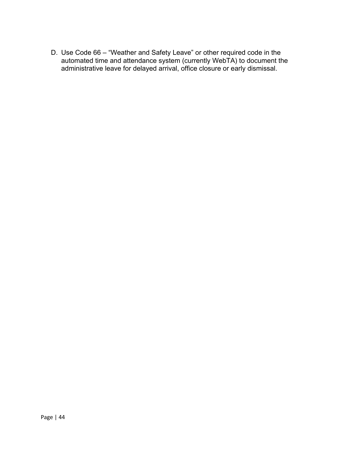D. Use Code 66 –"Weather and Safety Leave" or other required code in the automated time and attendance system (currently WebTA) to document the administrative leave for delayed arrival, office closure or early dismissal.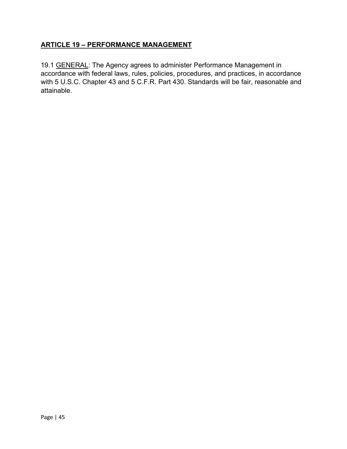### **ARTICLE 19 - PERFORMANCE MANAGEMENT**

19.1 GENERAL: The Agency agrees to administer Performance Management in accordance with federal laws, rules, policies, procedures, and practices, in accordance with 5 U.S.C. Chapter 43 and 5 C.F.R. Part 430. Standards will be fair, reasonable and attainable.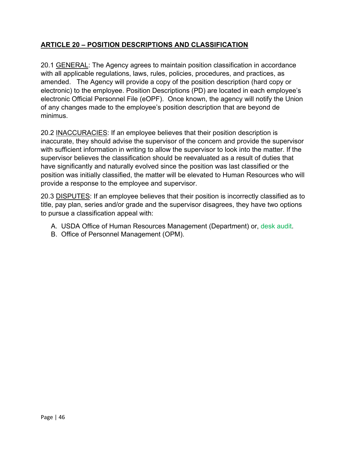# **ARTICLE 20 – POSITION DESCRIPTIONS AND CLASSIFICATION**

 electronic Official Personnel File (eOPF). Once known, the agency will notify the Union 20.1 GENERAL: The Agency agrees to maintain position classification in accordance with all applicable regulations, laws, rules, policies, procedures, and practices, as amended. The Agency will provide a copy of the position description (hard copy or electronic) to the employee. Position Descriptions (PD) are located in each employee's of any changes made to the employee's position description that are beyond de minimus.

provide a response to the employee and supervisor. 20.2 INACCURACIES: If an employee believes that their position description is inaccurate, they should advise the supervisor of the concern and provide the supervisor with sufficient information in writing to allow the supervisor to look into the matter. If the supervisor believes the classification should be reevaluated as a result of duties that have significantly and naturally evolved since the position was last classified or the position was initially classified, the matter will be elevated to Human Resources who will

20.3 DISPUTES: If an employee believes that their position is incorrectly classified as to title, pay plan, series and/or grade and the supervisor disagrees, they have two options to pursue a classification appeal with:

- A. USDA Office of Human Resources Management (Department) or, desk audit.
- B. Office of Personnel Management (OPM).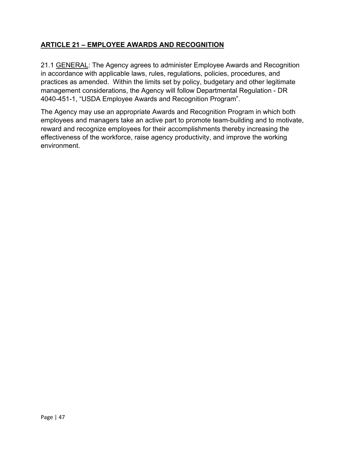# **ARTICLE 21 – EMPLOYEE AWARDS AND RECOGNITION**

 practices as amended. Within the limits set by policy, budgetary and other legitimate 21.1 GENERAL: The Agency agrees to administer Employee Awards and Recognition in accordance with applicable laws, rules, regulations, policies, procedures, and management considerations, the Agency will follow Departmental Regulation - DR 4040-451-1, "USDA Employee Awards and Recognition Program".

The Agency may use an appropriate Awards and Recognition Program in which both employees and managers take an active part to promote team-building and to motivate, reward and recognize employees for their accomplishments thereby increasing the effectiveness of the workforce, raise agency productivity, and improve the working environment.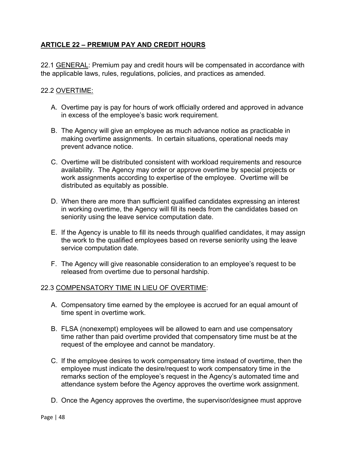# **ARTICLE 22 – PREMIUM PAY AND CREDIT HOURS**

the applicable laws, rules, regulations, policies, and practices as amended.<br>22.2 <u>OVERTIME:</u> 22.1 GENERAL: Premium pay and credit hours will be compensated in accordance with

- in excess of the employee's basic work requirement. A. Overtime pay is pay for hours of work officially ordered and approved in advance
- making overtime assignments. In certain situations, operational needs may B. The Agency will give an employee as much advance notice as practicable in prevent advance notice.
- C. Overtime will be distributed consistent with workload requirements and resource availability. The Agency may order or approve overtime by special projects or work assignments according to expertise of the employee. Overtime will be distributed as equitably as possible.
- seniority using the leave service computation date. D. When there are more than sufficient qualified candidates expressing an interest in working overtime, the Agency will fill its needs from the candidates based on
- E. If the Agency is unable to fill its needs through qualified candidates, it may assign the work to the qualified employees based on reverse seniority using the leave service computation date.
- F. The Agency will give reasonable consideration to an employee's request to be released from overtime due to personal hardship.

#### 22.3 COMPENSATORY TIME IN LIEU OF OVERTIME:

- time spent in overtime work. A. Compensatory time earned by the employee is accrued for an equal amount of
- B. FLSA (nonexempt) employees will be allowed to earn and use compensatory time rather than paid overtime provided that compensatory time must be at the request of the employee and cannot be mandatory.
- C. If the employee desires to work compensatory time instead of overtime, then the employee must indicate the desire/request to work compensatory time in the remarks section of the employee's request in the Agency's automated time and attendance system before the Agency approves the overtime work assignment.
- D. Once the Agency approves the overtime, the supervisor/designee must approve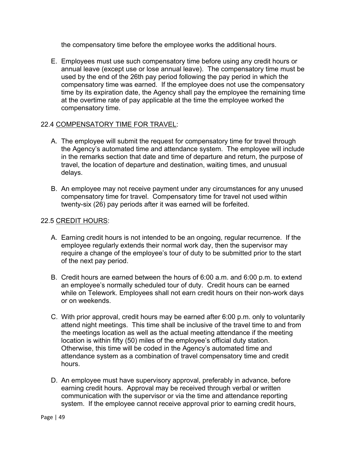the compensatory time before the employee works the additional hours.

E. Employees must use such compensatory time before using any credit hours or annual leave (except use or lose annual leave). The compensatory time must be used by the end of the 26th pay period following the pay period in which the compensatory time was earned. If the employee does not use the compensatory time by its expiration date, the Agency shall pay the employee the remaining time at the overtime rate of pay applicable at the time the employee worked the compensatory time.

#### 22.4 COMPENSATORY TIME FOR TRAVEL:

- delays. A. The employee will submit the request for compensatory time for travel through the Agency's automated time and attendance system. The employee will include in the remarks section that date and time of departure and return, the purpose of travel, the location of departure and destination, waiting times, and unusual
- B. An employee may not receive payment under any circumstances for any unused compensatory time for travel. Compensatory time for travel not used within twenty-six (26) pay periods after it was earned will be forfeited.

#### 22.5 CREDIT HOURS:

- A. Earning credit hours is not intended to be an ongoing, regular recurrence. If the employee regularly extends their normal work day, then the supervisor may require a change of the employee's tour of duty to be submitted prior to the start of the next pay period.
- an employee's normally scheduled tour of duty. Credit hours can be earned B. Credit hours are earned between the hours of 6:00 a.m. and 6:00 p.m. to extend while on Telework. Employees shall not earn credit hours on their non-work days or on weekends.
- location is within fifty (50) miles of the employee's official duty station. C. With prior approval, credit hours may be earned after 6:00 p.m. only to voluntarily attend night meetings. This time shall be inclusive of the travel time to and from the meetings location as well as the actual meeting attendance if the meeting Otherwise, this time will be coded in the Agency's automated time and attendance system as a combination of travel compensatory time and credit hours.
- system. If the employee cannot receive approval prior to earning credit hours, D. An employee must have supervisory approval, preferably in advance, before earning credit hours. Approval may be received through verbal or written communication with the supervisor or via the time and attendance reporting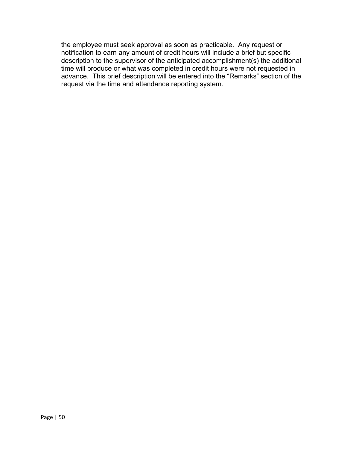the employee must seek approval as soon as practicable. Any request or notification to earn any amount of credit hours will include a brief but specific description to the supervisor of the anticipated accomplishment(s) the additional time will produce or what was completed in credit hours were not requested in advance. This brief description will be entered into the "Remarks" section of the request via the time and attendance reporting system.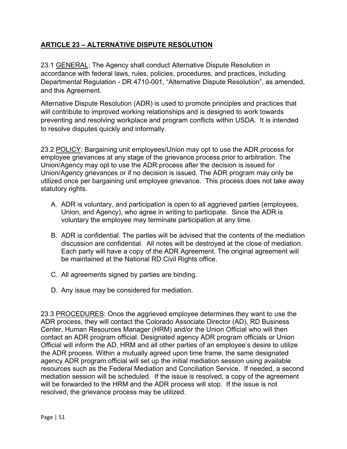# **ARTICLE 23 – ALTERNATIVE DISPUTE RESOLUTION**

and this Agreement. 23.1 GENERAL: The Agency shall conduct Alternative Dispute Resolution in accordance with federal laws, rules, policies, procedures, and practices, including Departmental Regulation - DR 4710-001, "Alternative Dispute Resolution", as amended,

 preventing and resolving workplace and program conflicts within USDA. It is intended Alternative Dispute Resolution (ADR) is used to promote principles and practices that will contribute to improved working relationships and is designed to work towards to resolve disputes quickly and informally.

23.2 POLICY: Bargaining unit employees/Union may opt to use the ADR process for employee grievances at any stage of the grievance process prior to arbitration. The Union/Agency may opt to use the ADR process after the decision is issued for Union/Agency grievances or if no decision is issued. The ADR program may only be utilized once per bargaining unit employee grievance. This process does not take away statutory rights.

- Union, and Agency), who agree in writing to participate. Since the ADR is A. ADR is voluntary, and participation is open to all aggrieved parties (employees, voluntary the employee may terminate participation at any time.
- be maintained at the National RD Civil Rights office. B. ADR is confidential. The parties will be advised that the contents of the mediation discussion are confidential. All notes will be destroyed at the close of mediation. Each party will have a copy of the ADR Agreement. The original agreement will
- C. All agreements signed by parties are binding.
- D. Any issue may be considered for mediation.

 agency ADR program official will set up the initial mediation session using available will be forwarded to the HRM and the ADR process will stop. If the issue is not 23.3 PROCEDURES: Once the aggrieved employee determines they want to use the ADR process, they will contact the Colorado Associate Director (AD), RD Business Center, Human Resources Manager (HRM) and/or the Union Official who will then contact an ADR program official. Designated agency ADR program officials or Union Official will inform the AD, HRM and all other parties of an employee's desire to utilize the ADR process. Within a mutually agreed upon time frame, the same designated resources such as the Federal Mediation and Conciliation Service. If needed, a second mediation session will be scheduled. If the issue is resolved, a copy of the agreement resolved, the grievance process may be utilized.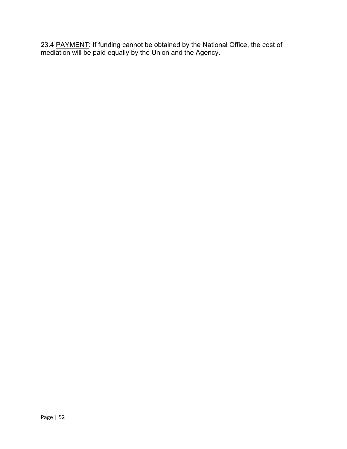23.4 <u>PAYMENT</u>: If funding cannot be obtained by the National Office, the cost of mediation will be paid equally by the Union and the Agency.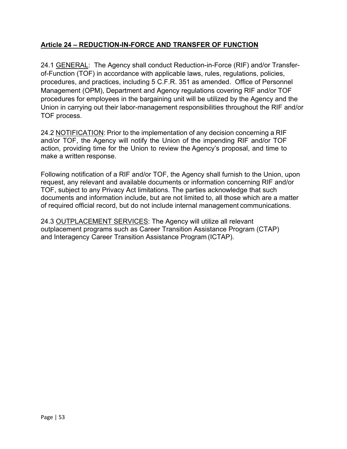#### **Article 24 – REDUCTION-IN-FORCE AND TRANSFER OF FUNCTION**

 procedures, and practices, including 5 C.F.R. 351 as amended. Office of Personnel 24.1 GENERAL: The Agency shall conduct Reduction-in-Force (RIF) and/or Transferof-Function (TOF) in accordance with applicable laws, rules, regulations, policies, Management (OPM), Department and Agency regulations covering RIF and/or TOF procedures for employees in the bargaining unit will be utilized by the Agency and the Union in carrying out their labor-management responsibilities throughout the RIF and/or TOF process.

 make a written response. 24.2 NOTIFICATION: Prior to the implementation of any decision concerning a RIF and/or TOF, the Agency will notify the Union of the impending RIF and/or TOF action, providing time for the Union to review the Agency's proposal, and time to

Following notification of a RIF and/or TOF, the Agency shall furnish to the Union, upon request, any relevant and available documents or information concerning RIF and/or TOF, subject to any Privacy Act limitations. The parties acknowledge that such documents and information include, but are not limited to, all those which are a matter of required official record, but do not include internal management communications.

 and Interagency Career Transition Assistance Program (ICTAP). 24.3 OUTPLACEMENT SERVICES: The Agency will utilize all relevant outplacement programs such as Career Transition Assistance Program (CTAP)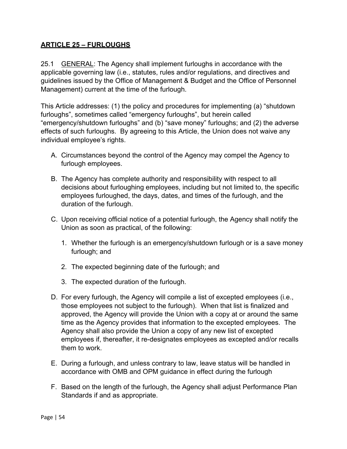#### **ARTICLE 25 – FURLOUGHS**

Management) current at the time of the furlough. 25.1 GENERAL: The Agency shall implement furloughs in accordance with the applicable governing law (i.e., statutes, rules and/or regulations, and directives and guidelines issued by the Office of Management & Budget and the Office of Personnel

 furloughs", sometimes called "emergency furloughs", but herein called This Article addresses: (1) the policy and procedures for implementing (a) "shutdown "emergency/shutdown furloughs" and (b) "save money" furloughs; and (2) the adverse effects of such furloughs. By agreeing to this Article, the Union does not waive any individual employee's rights.

- A. Circumstances beyond the control of the Agency may compel the Agency to furlough employees.
- B. The Agency has complete authority and responsibility with respect to all decisions about furloughing employees, including but not limited to, the specific employees furloughed, the days, dates, and times of the furlough, and the duration of the furlough.
- C. Upon receiving official notice of a potential furlough, the Agency shall notify the Union as soon as practical, of the following:
	- 1. Whether the furlough is an emergency/shutdown furlough or is a save money furlough; and
	- 2. The expected beginning date of the furlough; and
	- 3. The expected duration of the furlough.
- D. For every furlough, the Agency will compile a list of excepted employees (i.e., those employees not subject to the furlough). When that list is finalized and approved, the Agency will provide the Union with a copy at or around the same time as the Agency provides that information to the excepted employees. The Agency shall also provide the Union a copy of any new list of excepted employees if, thereafter, it re-designates employees as excepted and/or recalls them to work.
- E. During a furlough, and unless contrary to law, leave status will be handled in accordance with OMB and OPM guidance in effect during the furlough
- F. Based on the length of the furlough, the Agency shall adjust Performance Plan Standards if and as appropriate.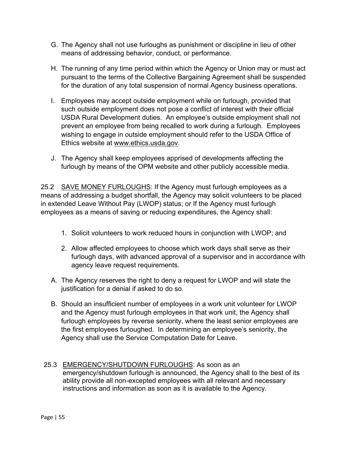- G. The Agency shall not use furloughs as punishment or discipline in lieu of other means of addressing behavior, conduct, or performance.
- H. The running of any time period within which the Agency or Union may or must act pursuant to the terms of the Collective Bargaining Agreement shall be suspended for the duration of any total suspension of normal Agency business operations.
- USDA Rural Development duties. An employee's outside employment shall not prevent an employee from being recalled to work during a furlough. Employees I. Employees may accept outside employment while on furlough, provided that such outside employment does not pose a conflict of interest with their official wishing to engage in outside employment should refer to the USDA Office of Ethics website at [www.ethics.usda.gov.](http://www.ethics.usda.gov/)
- J. The Agency shall keep employees apprised of developments affecting the furlough by means of the OPM website and other publicly accessible media.

25.2 SAVE MONEY FURLOUGHS: If the Agency must furlough employees as a means of addressing a budget shortfall, the Agency may solicit volunteers to be placed in extended Leave Without Pay (LWOP) status; or If the Agency must furlough employees as a means of saving or reducing expenditures, the Agency shall:

- 1. Solicit volunteers to work reduced hours in conjunction with LWOP; and
- 2. Allow affected employees to choose which work days shall serve as their furlough days, with advanced approval of a supervisor and in accordance with agency leave request requirements.
- A. The Agency reserves the right to deny a request for LWOP and will state the justification for a denial if asked to do so.
- B. Should an insufficient number of employees in a work unit volunteer for LWOP and the Agency must furlough employees in that work unit, the Agency shall furlough employees by reverse seniority, where the least senior employees are the first employees furloughed. In determining an employee's seniority, the Agency shall use the Service Computation Date for Leave.
- 25.3 EMERGENCY/SHUTDOWN FURLOUGHS: As soon as an emergency/shutdown furlough is announced, the Agency shall to the best of its ability provide all non-excepted employees with all relevant and necessary instructions and information as soon as it is available to the Agency.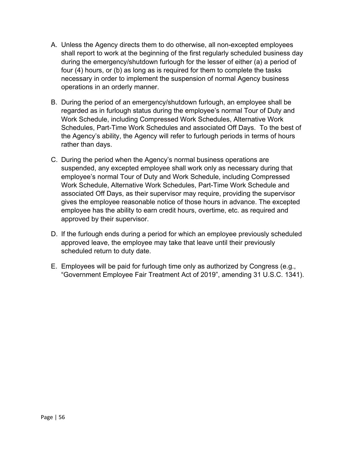- necessary in order to implement the suspension of normal Agency business A. Unless the Agency directs them to do otherwise, all non-excepted employees shall report to work at the beginning of the first regularly scheduled business day during the emergency/shutdown furlough for the lesser of either (a) a period of four (4) hours, or (b) as long as is required for them to complete the tasks operations in an orderly manner.
- Schedules, Part-Time Work Schedules and associated Off Days. To the best of B. During the period of an emergency/shutdown furlough, an employee shall be regarded as in furlough status during the employee's normal Tour of Duty and Work Schedule, including Compressed Work Schedules, Alternative Work the Agency's ability, the Agency will refer to furlough periods in terms of hours rather than days.
- employee's normal Tour of Duty and Work Schedule, including Compressed C. During the period when the Agency's normal business operations are suspended, any excepted employee shall work only as necessary during that Work Schedule, Alternative Work Schedules, Part-Time Work Schedule and associated Off Days, as their supervisor may require, providing the supervisor gives the employee reasonable notice of those hours in advance. The excepted employee has the ability to earn credit hours, overtime, etc. as required and approved by their supervisor.
- D. If the furlough ends during a period for which an employee previously scheduled approved leave, the employee may take that leave until their previously scheduled return to duty date.
- E. Employees will be paid for furlough time only as authorized by Congress (e.g., "Government Employee Fair Treatment Act of 2019", amending 31 U.S.C. 1341).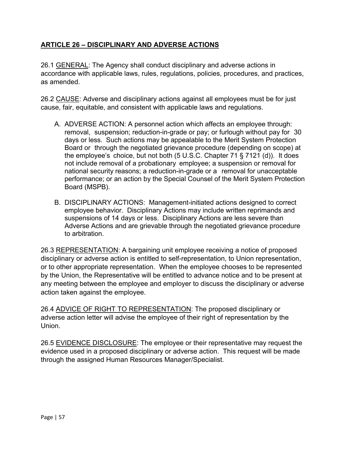# **ARTICLE 26 – DISCIPLINARY AND ADVERSE ACTIONS**

26.1 GENERAL: The Agency shall conduct disciplinary and adverse actions in accordance with applicable laws, rules, regulations, policies, procedures, and practices, as amended.

26.2 CAUSE: Adverse and disciplinary actions against all employees must be for just cause, fair, equitable, and consistent with applicable laws and regulations.

- A. ADVERSE ACTION: A personnel action which affects an employee through: removal, suspension; reduction-in-grade or pay; or furlough without pay for 30 days or less. Such actions may be appealable to the Merit System Protection Board or through the negotiated grievance procedure (depending on scope) at the employee's choice, but not both (5 U.S.C. Chapter 71 § 7121 (d)). It does not include removal of a probationary employee; a suspension or removal for national security reasons; a reduction-in-grade or a removal for unacceptable performance; or an action by the Special Counsel of the Merit System Protection Board (MSPB).
- B. DISCIPLINARY ACTIONS: Management-initiated actions designed to correct employee behavior. Disciplinary Actions may include written reprimands and suspensions of 14 days or less. Disciplinary Actions are less severe than Adverse Actions and are grievable through the negotiated grievance procedure to arbitration.

26.3 REPRESENTATION: A bargaining unit employee receiving a notice of proposed disciplinary or adverse action is entitled to self-representation, to Union representation, or to other appropriate representation. When the employee chooses to be represented by the Union, the Representative will be entitled to advance notice and to be present at any meeting between the employee and employer to discuss the disciplinary or adverse action taken against the employee.

26.4 ADVICE OF RIGHT TO REPRESENTATION: The proposed disciplinary or adverse action letter will advise the employee of their right of representation by the Union.

 through the assigned Human Resources Manager/Specialist. 26.5 EVIDENCE DISCLOSURE: The employee or their representative may request the evidence used in a proposed disciplinary or adverse action. This request will be made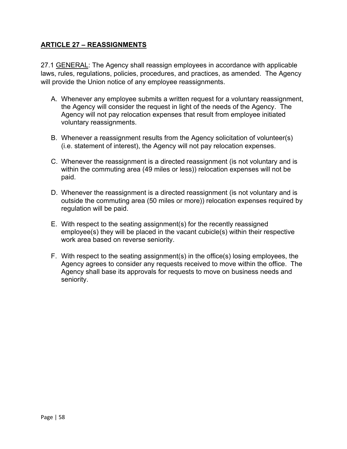### **ARTICLE 27 – REASSIGNMENTS**

27.1 GENERAL: The Agency shall reassign employees in accordance with applicable laws, rules, regulations, policies, procedures, and practices, as amended. The Agency will provide the Union notice of any employee reassignments.

- Agency will not pay relocation expenses that result from employee initiated A. Whenever any employee submits a written request for a voluntary reassignment, the Agency will consider the request in light of the needs of the Agency. The voluntary reassignments.
- B. Whenever a reassignment results from the Agency solicitation of volunteer(s) (i.e. statement of interest), the Agency will not pay relocation expenses.
- paid. C. Whenever the reassignment is a directed reassignment (is not voluntary and is within the commuting area (49 miles or less)) relocation expenses will not be
- regulation will be paid. D. Whenever the reassignment is a directed reassignment (is not voluntary and is outside the commuting area (50 miles or more)) relocation expenses required by
- E. With respect to the seating assignment(s) for the recently reassigned employee(s) they will be placed in the vacant cubicle(s) within their respective work area based on reverse seniority.
- Agency agrees to consider any requests received to move within the office. The F. With respect to the seating assignment(s) in the office(s) losing employees, the Agency shall base its approvals for requests to move on business needs and seniority.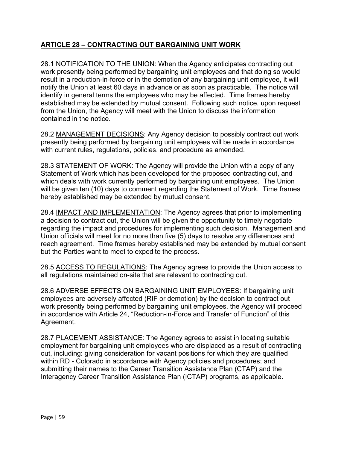# **ARTICLE 28 – CONTRACTING OUT BARGAINING UNIT WORK**

 notify the Union at least 60 days in advance or as soon as practicable. The notice will from the Union, the Agency will meet with the Union to discuss the information 28.1 NOTIFICATION TO THE UNION: When the Agency anticipates contracting out work presently being performed by bargaining unit employees and that doing so would result in a reduction-in-force or in the demotion of any bargaining unit employee, it will identify in general terms the employees who may be affected. Time frames hereby established may be extended by mutual consent. Following such notice, upon request contained in the notice.

 28.2 MANAGEMENT DECISIONS: Any Agency decision to possibly contract out work presently being performed by bargaining unit employees will be made in accordance with current rules, regulations, policies, and procedure as amended.

 will be given ten (10) days to comment regarding the Statement of Work. Time frames 28.3 STATEMENT OF WORK: The Agency will provide the Union with a copy of any Statement of Work which has been developed for the proposed contracting out, and which deals with work currently performed by bargaining unit employees. The Union hereby established may be extended by mutual consent.

but the Parties want to meet to expedite the process. 28.4 IMPACT AND IMPLEMENTATION: The Agency agrees that prior to implementing a decision to contract out, the Union will be given the opportunity to timely negotiate regarding the impact and procedures for implementing such decision. Management and Union officials will meet for no more than five (5) days to resolve any differences and reach agreement. Time frames hereby established may be extended by mutual consent

28.5 ACCESS TO REGULATIONS: The Agency agrees to provide the Union access to all regulations maintained on-site that are relevant to contracting out.

 in accordance with Article 24, "Reduction-in-Force and Transfer of Function" of this 28.6 ADVERSE EFFECTS ON BARGAINING UNIT EMPLOYEES: If bargaining unit employees are adversely affected (RIF or demotion) by the decision to contract out work presently being performed by bargaining unit employees, the Agency will proceed Agreement.

28.7 PLACEMENT ASSISTANCE: The Agency agrees to assist in locating suitable employment for bargaining unit employees who are displaced as a result of contracting out, including: giving consideration for vacant positions for which they are qualified within RD - Colorado in accordance with Agency policies and procedures; and submitting their names to the Career Transition Assistance Plan (CTAP) and the Interagency Career Transition Assistance Plan (ICTAP) programs, as applicable.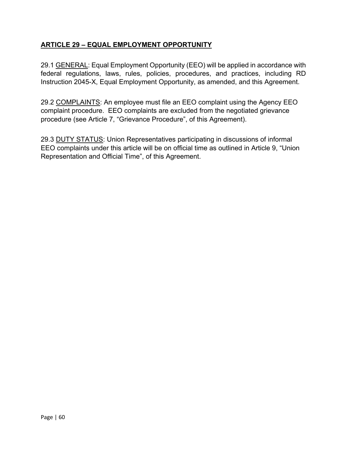# **ARTICLE 29 – EQUAL EMPLOYMENT OPPORTUNITY**

Instruction 2045-X, Equal Employment Opportunity, as amended, and this Agreement. 29.1 GENERAL: Equal Employment Opportunity (EEO) will be applied in accordance with federal regulations, laws, rules, policies, procedures, and practices, including RD

 complaint procedure. EEO complaints are excluded from the negotiated grievance procedure (see Article 7, "Grievance Procedure", of this Agreement). 29.2 COMPLAINTS: An employee must file an EEO complaint using the Agency EEO

29.3 DUTY STATUS: Union Representatives participating in discussions of informal EEO complaints under this article will be on official time as outlined in Article 9, "Union Representation and Official Time", of this Agreement.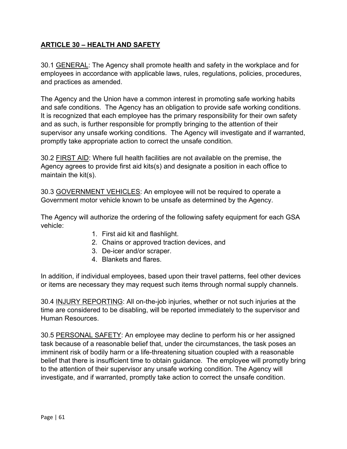# **ARTICLE 30 – HEALTH AND SAFETY**

30.1 GENERAL: The Agency shall promote health and safety in the workplace and for employees in accordance with applicable laws, rules, regulations, policies, procedures, and practices as amended.

 and safe conditions. The Agency has an obligation to provide safe working conditions. promptly take appropriate action to correct the unsafe condition. The Agency and the Union have a common interest in promoting safe working habits It is recognized that each employee has the primary responsibility for their own safety and as such, is further responsible for promptly bringing to the attention of their supervisor any unsafe working conditions. The Agency will investigate and if warranted,

30.2 FIRST AID: Where full health facilities are not available on the premise, the Agency agrees to provide first aid kits(s) and designate a position in each office to maintain the kit(s).

30.3 GOVERNMENT VEHICLES: An employee will not be required to operate a Government motor vehicle known to be unsafe as determined by the Agency.

The Agency will authorize the ordering of the following safety equipment for each GSA vehicle:

- 1. First aid kit and flashlight.
- 2. Chains or approved traction devices, and
- 3. De-icer and/or scraper.
- 4. Blankets and flares.

In addition, if individual employees, based upon their travel patterns, feel other devices or items are necessary they may request such items through normal supply channels.

30.4 INJURY REPORTING: All on-the-job injuries, whether or not such injuries at the time are considered to be disabling, will be reported immediately to the supervisor and Human Resources.

 to the attention of their supervisor any unsafe working condition. The Agency will 30.5 PERSONAL SAFETY: An employee may decline to perform his or her assigned task because of a reasonable belief that, under the circumstances, the task poses an imminent risk of bodily harm or a life-threatening situation coupled with a reasonable belief that there is insufficient time to obtain guidance. The employee will promptly bring investigate, and if warranted, promptly take action to correct the unsafe condition.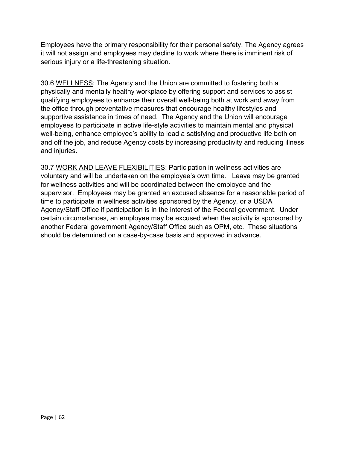it will not assign and employees may decline to work where there is imminent risk of Employees have the primary responsibility for their personal safety. The Agency agrees serious injury or a life-threatening situation.

30.6 WELLNESS: The Agency and the Union are committed to fostering both a physically and mentally healthy workplace by offering support and services to assist qualifying employees to enhance their overall well-being both at work and away from the office through preventative measures that encourage healthy lifestyles and supportive assistance in times of need. The Agency and the Union will encourage employees to participate in active life-style activities to maintain mental and physical well-being, enhance employee's ability to lead a satisfying and productive life both on and off the job, and reduce Agency costs by increasing productivity and reducing illness and injuries.

 Agency/Staff Office if participation is in the interest of the Federal government. Under 30.7 WORK AND LEAVE FLEXIBILITIES: Participation in wellness activities are voluntary and will be undertaken on the employee's own time. Leave may be granted for wellness activities and will be coordinated between the employee and the supervisor. Employees may be granted an excused absence for a reasonable period of time to participate in wellness activities sponsored by the Agency, or a USDA certain circumstances, an employee may be excused when the activity is sponsored by another Federal government Agency/Staff Office such as OPM, etc. These situations should be determined on a case-by-case basis and approved in advance.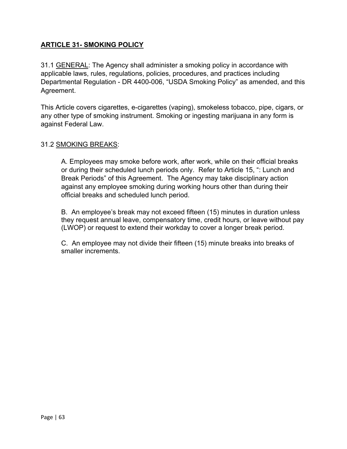# **ARTICLE 31- SMOKING POLICY**

Agreement. 31.1 GENERAL: The Agency shall administer a smoking policy in accordance with applicable laws, rules, regulations, policies, procedures, and practices including Departmental Regulation - DR 4400-006, "USDA Smoking Policy" as amended, and this

This Article covers cigarettes, e-cigarettes (vaping), smokeless tobacco, pipe, cigars, or any other type of smoking instrument. Smoking or ingesting marijuana in any form is against Federal Law.

#### 31.2 SMOKING BREAKS:

A. Employees may smoke before work, after work, while on their official breaks or during their scheduled lunch periods only. Refer to Article 15, ": Lunch and Break Periods" of this Agreement. The Agency may take disciplinary action against any employee smoking during working hours other than during their official breaks and scheduled lunch period.

B. An employee's break may not exceed fifteen (15) minutes in duration unless they request annual leave, compensatory time, credit hours, or leave without pay (LWOP) or request to extend their workday to cover a longer break period.

 smaller increments. C. An employee may not divide their fifteen (15) minute breaks into breaks of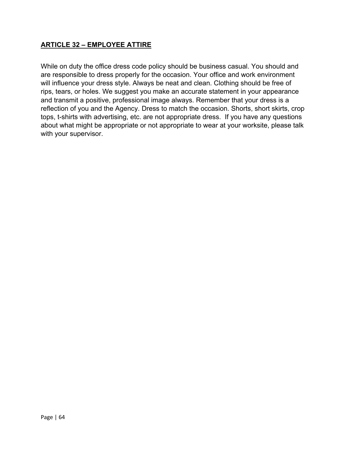#### **ARTICLE 32 – EMPLOYEE ATTIRE**

 tops, t-shirts with advertising, etc. are not appropriate dress. If you have any questions While on duty the office dress code policy should be business casual. You should and are responsible to dress properly for the occasion. Your office and work environment will influence your dress style. Always be neat and clean. Clothing should be free of rips, tears, or holes. We suggest you make an accurate statement in your appearance and transmit a positive, professional image always. Remember that your dress is a reflection of you and the Agency. Dress to match the occasion. Shorts, short skirts, crop about what might be appropriate or not appropriate to wear at your worksite, please talk with your supervisor.